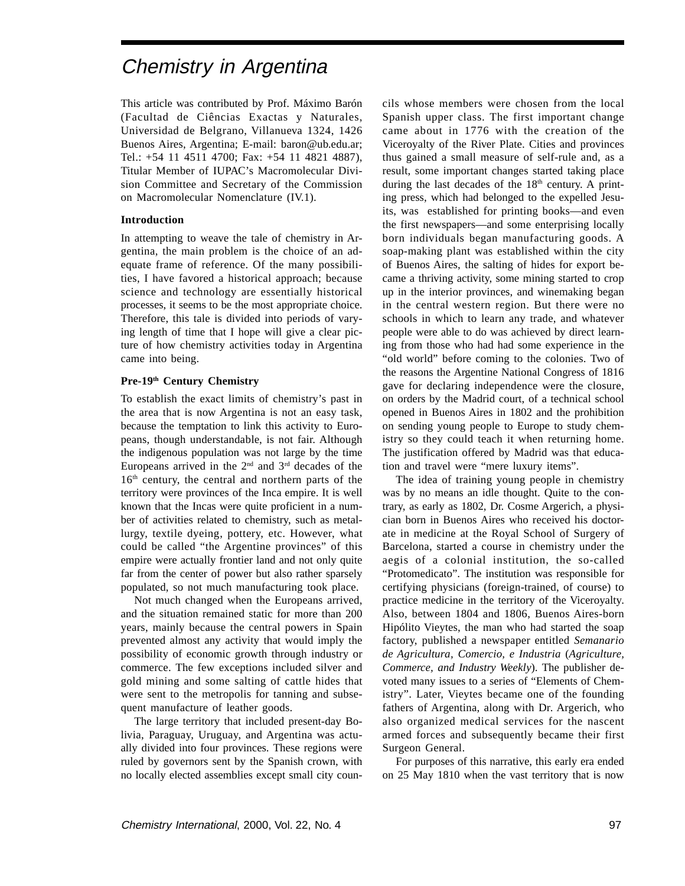# Chemistry in Argentina

This article was contributed by Prof. Máximo Barón (Facultad de Ciências Exactas y Naturales, Universidad de Belgrano, Villanueva 1324, 1426 Buenos Aires, Argentina; E-mail: baron@ub.edu.ar; Tel.: +54 11 4511 4700; Fax: +54 11 4821 4887), Titular Member of IUPAC's Macromolecular Division Committee and Secretary of the Commission on Macromolecular Nomenclature (IV.1).

### **Introduction**

In attempting to weave the tale of chemistry in Argentina, the main problem is the choice of an adequate frame of reference. Of the many possibilities, I have favored a historical approach; because science and technology are essentially historical processes, it seems to be the most appropriate choice. Therefore, this tale is divided into periods of varying length of time that I hope will give a clear picture of how chemistry activities today in Argentina came into being.

## **Pre-19th Century Chemistry**

To establish the exact limits of chemistry's past in the area that is now Argentina is not an easy task, because the temptation to link this activity to Europeans, though understandable, is not fair. Although the indigenous population was not large by the time Europeans arrived in the  $2<sup>nd</sup>$  and  $3<sup>rd</sup>$  decades of the 16<sup>th</sup> century, the central and northern parts of the territory were provinces of the Inca empire. It is well known that the Incas were quite proficient in a number of activities related to chemistry, such as metallurgy, textile dyeing, pottery, etc. However, what could be called "the Argentine provinces" of this empire were actually frontier land and not only quite far from the center of power but also rather sparsely populated, so not much manufacturing took place.

Not much changed when the Europeans arrived, and the situation remained static for more than 200 years, mainly because the central powers in Spain prevented almost any activity that would imply the possibility of economic growth through industry or commerce. The few exceptions included silver and gold mining and some salting of cattle hides that were sent to the metropolis for tanning and subsequent manufacture of leather goods.

The large territory that included present-day Bolivia, Paraguay, Uruguay, and Argentina was actually divided into four provinces. These regions were ruled by governors sent by the Spanish crown, with no locally elected assemblies except small city councils whose members were chosen from the local Spanish upper class. The first important change came about in 1776 with the creation of the Viceroyalty of the River Plate. Cities and provinces thus gained a small measure of self-rule and, as a result, some important changes started taking place during the last decades of the 18<sup>th</sup> century. A printing press, which had belonged to the expelled Jesuits, was established for printing books—and even the first newspapers—and some enterprising locally born individuals began manufacturing goods. A soap-making plant was established within the city of Buenos Aires, the salting of hides for export became a thriving activity, some mining started to crop up in the interior provinces, and winemaking began in the central western region. But there were no schools in which to learn any trade, and whatever people were able to do was achieved by direct learning from those who had had some experience in the "old world" before coming to the colonies. Two of the reasons the Argentine National Congress of 1816 gave for declaring independence were the closure, on orders by the Madrid court, of a technical school opened in Buenos Aires in 1802 and the prohibition on sending young people to Europe to study chemistry so they could teach it when returning home. The justification offered by Madrid was that education and travel were "mere luxury items".

The idea of training young people in chemistry was by no means an idle thought. Quite to the contrary, as early as 1802, Dr. Cosme Argerich, a physician born in Buenos Aires who received his doctorate in medicine at the Royal School of Surgery of Barcelona, started a course in chemistry under the aegis of a colonial institution, the so-called "Protomedicato". The institution was responsible for certifying physicians (foreign-trained, of course) to practice medicine in the territory of the Viceroyalty. Also, between 1804 and 1806, Buenos Aires-born Hipólito Vieytes, the man who had started the soap factory, published a newspaper entitled *Semanario de Agricultura, Comercio, e Industria* (*Agriculture, Commerce, and Industry Weekly*). The publisher devoted many issues to a series of "Elements of Chemistry". Later, Vieytes became one of the founding fathers of Argentina, along with Dr. Argerich, who also organized medical services for the nascent armed forces and subsequently became their first Surgeon General.

For purposes of this narrative, this early era ended on 25 May 1810 when the vast territory that is now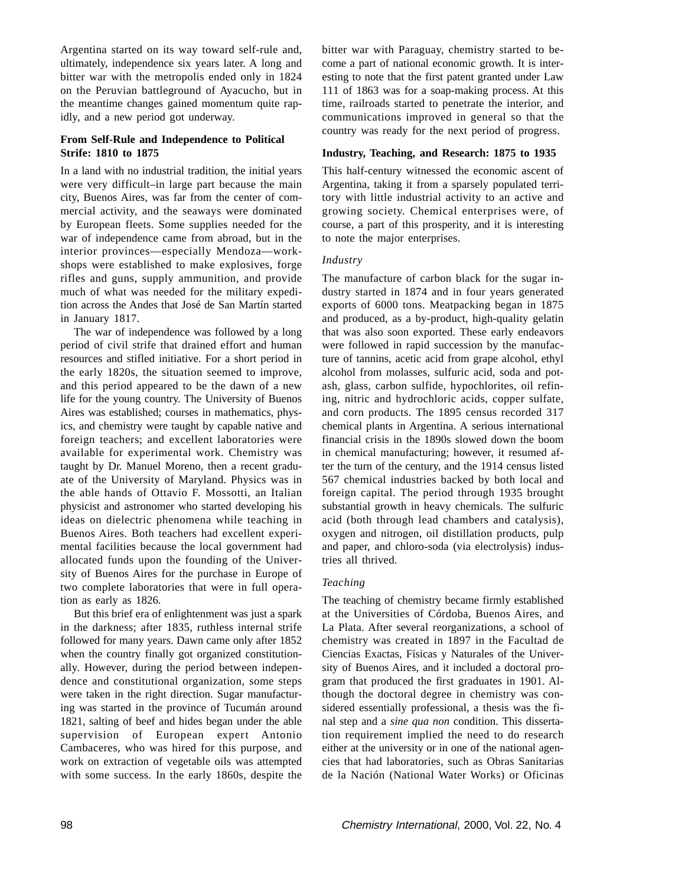Argentina started on its way toward self-rule and, ultimately, independence six years later. A long and bitter war with the metropolis ended only in 1824 on the Peruvian battleground of Ayacucho, but in the meantime changes gained momentum quite rapidly, and a new period got underway.

## **From Self-Rule and Independence to Political Strife: 1810 to 1875**

In a land with no industrial tradition, the initial years were very difficult–in large part because the main city, Buenos Aires, was far from the center of commercial activity, and the seaways were dominated by European fleets. Some supplies needed for the war of independence came from abroad, but in the interior provinces—especially Mendoza—workshops were established to make explosives, forge rifles and guns, supply ammunition, and provide much of what was needed for the military expedition across the Andes that José de San Martín started in January 1817.

The war of independence was followed by a long period of civil strife that drained effort and human resources and stifled initiative. For a short period in the early 1820s, the situation seemed to improve, and this period appeared to be the dawn of a new life for the young country. The University of Buenos Aires was established; courses in mathematics, physics, and chemistry were taught by capable native and foreign teachers; and excellent laboratories were available for experimental work. Chemistry was taught by Dr. Manuel Moreno, then a recent graduate of the University of Maryland. Physics was in the able hands of Ottavio F. Mossotti, an Italian physicist and astronomer who started developing his ideas on dielectric phenomena while teaching in Buenos Aires. Both teachers had excellent experimental facilities because the local government had allocated funds upon the founding of the University of Buenos Aires for the purchase in Europe of two complete laboratories that were in full operation as early as 1826.

But this brief era of enlightenment was just a spark in the darkness; after 1835, ruthless internal strife followed for many years. Dawn came only after 1852 when the country finally got organized constitutionally. However, during the period between independence and constitutional organization, some steps were taken in the right direction. Sugar manufacturing was started in the province of Tucumán around 1821, salting of beef and hides began under the able supervision of European expert Antonio Cambaceres, who was hired for this purpose, and work on extraction of vegetable oils was attempted with some success. In the early 1860s, despite the bitter war with Paraguay, chemistry started to become a part of national economic growth. It is interesting to note that the first patent granted under Law 111 of 1863 was for a soap-making process. At this time, railroads started to penetrate the interior, and communications improved in general so that the country was ready for the next period of progress.

## **Industry, Teaching, and Research: 1875 to 1935**

This half-century witnessed the economic ascent of Argentina, taking it from a sparsely populated territory with little industrial activity to an active and growing society. Chemical enterprises were, of course, a part of this prosperity, and it is interesting to note the major enterprises.

## *Industry*

The manufacture of carbon black for the sugar industry started in 1874 and in four years generated exports of 6000 tons. Meatpacking began in 1875 and produced, as a by-product, high-quality gelatin that was also soon exported. These early endeavors were followed in rapid succession by the manufacture of tannins, acetic acid from grape alcohol, ethyl alcohol from molasses, sulfuric acid, soda and potash, glass, carbon sulfide, hypochlorites, oil refining, nitric and hydrochloric acids, copper sulfate, and corn products. The 1895 census recorded 317 chemical plants in Argentina. A serious international financial crisis in the 1890s slowed down the boom in chemical manufacturing; however, it resumed after the turn of the century, and the 1914 census listed 567 chemical industries backed by both local and foreign capital. The period through 1935 brought substantial growth in heavy chemicals. The sulfuric acid (both through lead chambers and catalysis), oxygen and nitrogen, oil distillation products, pulp and paper, and chloro-soda (via electrolysis) industries all thrived.

## *Teaching*

The teaching of chemistry became firmly established at the Universities of Córdoba, Buenos Aires, and La Plata. After several reorganizations, a school of chemistry was created in 1897 in the Facultad de Ciencias Exactas, Físicas y Naturales of the University of Buenos Aires, and it included a doctoral program that produced the first graduates in 1901. Although the doctoral degree in chemistry was considered essentially professional, a thesis was the final step and a *sine qua non* condition. This dissertation requirement implied the need to do research either at the university or in one of the national agencies that had laboratories, such as Obras Sanitarias de la Nación (National Water Works) or Oficinas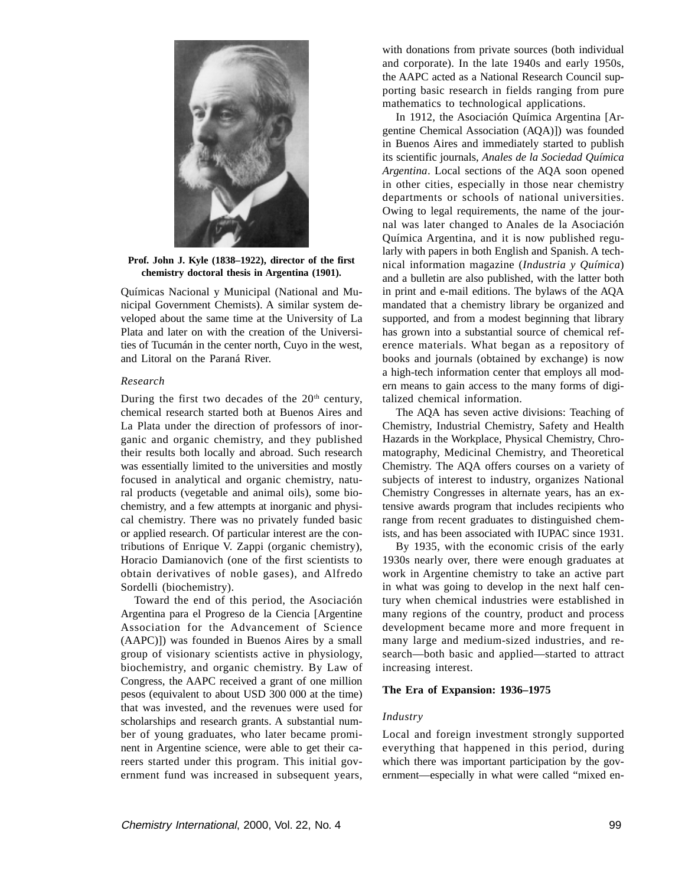

**Prof. John J. Kyle (1838–1922), director of the first chemistry doctoral thesis in Argentina (1901).**

Químicas Nacional y Municipal (National and Municipal Government Chemists). A similar system developed about the same time at the University of La Plata and later on with the creation of the Universities of Tucumán in the center north, Cuyo in the west, and Litoral on the Paraná River.

### *Research*

During the first two decades of the  $20<sup>th</sup>$  century, chemical research started both at Buenos Aires and La Plata under the direction of professors of inorganic and organic chemistry, and they published their results both locally and abroad. Such research was essentially limited to the universities and mostly focused in analytical and organic chemistry, natural products (vegetable and animal oils), some biochemistry, and a few attempts at inorganic and physical chemistry. There was no privately funded basic or applied research. Of particular interest are the contributions of Enrique V. Zappi (organic chemistry), Horacio Damianovich (one of the first scientists to obtain derivatives of noble gases), and Alfredo Sordelli (biochemistry).

Toward the end of this period, the Asociación Argentina para el Progreso de la Ciencia [Argentine Association for the Advancement of Science (AAPC)]) was founded in Buenos Aires by a small group of visionary scientists active in physiology, biochemistry, and organic chemistry. By Law of Congress, the AAPC received a grant of one million pesos (equivalent to about USD 300 000 at the time) that was invested, and the revenues were used for scholarships and research grants. A substantial number of young graduates, who later became prominent in Argentine science, were able to get their careers started under this program. This initial government fund was increased in subsequent years,

with donations from private sources (both individual and corporate). In the late 1940s and early 1950s, the AAPC acted as a National Research Council supporting basic research in fields ranging from pure mathematics to technological applications.

In 1912, the Asociación Química Argentina [Argentine Chemical Association (AQA)]) was founded in Buenos Aires and immediately started to publish its scientific journals, *Anales de la Sociedad Química Argentina*. Local sections of the AQA soon opened in other cities, especially in those near chemistry departments or schools of national universities. Owing to legal requirements, the name of the journal was later changed to Anales de la Asociación Química Argentina, and it is now published regularly with papers in both English and Spanish. A technical information magazine (*Industria y Química*) and a bulletin are also published, with the latter both in print and e-mail editions. The bylaws of the AQA mandated that a chemistry library be organized and supported, and from a modest beginning that library has grown into a substantial source of chemical reference materials. What began as a repository of books and journals (obtained by exchange) is now a high-tech information center that employs all modern means to gain access to the many forms of digitalized chemical information.

The AQA has seven active divisions: Teaching of Chemistry, Industrial Chemistry, Safety and Health Hazards in the Workplace, Physical Chemistry, Chromatography, Medicinal Chemistry, and Theoretical Chemistry. The AQA offers courses on a variety of subjects of interest to industry, organizes National Chemistry Congresses in alternate years, has an extensive awards program that includes recipients who range from recent graduates to distinguished chemists, and has been associated with IUPAC since 1931.

By 1935, with the economic crisis of the early 1930s nearly over, there were enough graduates at work in Argentine chemistry to take an active part in what was going to develop in the next half century when chemical industries were established in many regions of the country, product and process development became more and more frequent in many large and medium-sized industries, and research—both basic and applied—started to attract increasing interest.

### **The Era of Expansion: 1936–1975**

#### *Industry*

Local and foreign investment strongly supported everything that happened in this period, during which there was important participation by the government—especially in what were called "mixed en-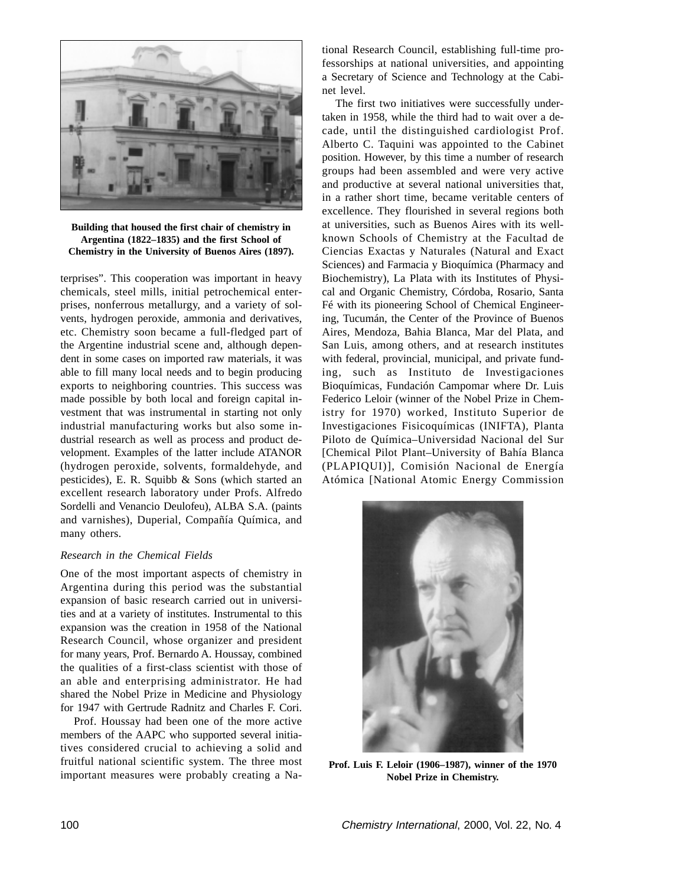

**Building that housed the first chair of chemistry in Argentina (1822–1835) and the first School of Chemistry in the University of Buenos Aires (1897).**

terprises". This cooperation was important in heavy chemicals, steel mills, initial petrochemical enterprises, nonferrous metallurgy, and a variety of solvents, hydrogen peroxide, ammonia and derivatives, etc. Chemistry soon became a full-fledged part of the Argentine industrial scene and, although dependent in some cases on imported raw materials, it was able to fill many local needs and to begin producing exports to neighboring countries. This success was made possible by both local and foreign capital investment that was instrumental in starting not only industrial manufacturing works but also some industrial research as well as process and product development. Examples of the latter include ATANOR (hydrogen peroxide, solvents, formaldehyde, and pesticides), E. R. Squibb & Sons (which started an excellent research laboratory under Profs. Alfredo Sordelli and Venancio Deulofeu), ALBA S.A. (paints and varnishes), Duperial, Compañía Química, and many others.

### *Research in the Chemical Fields*

One of the most important aspects of chemistry in Argentina during this period was the substantial expansion of basic research carried out in universities and at a variety of institutes. Instrumental to this expansion was the creation in 1958 of the National Research Council, whose organizer and president for many years, Prof. Bernardo A. Houssay, combined the qualities of a first-class scientist with those of an able and enterprising administrator. He had shared the Nobel Prize in Medicine and Physiology for 1947 with Gertrude Radnitz and Charles F. Cori.

Prof. Houssay had been one of the more active members of the AAPC who supported several initiatives considered crucial to achieving a solid and fruitful national scientific system. The three most important measures were probably creating a National Research Council, establishing full-time professorships at national universities, and appointing a Secretary of Science and Technology at the Cabinet level.

The first two initiatives were successfully undertaken in 1958, while the third had to wait over a decade, until the distinguished cardiologist Prof. Alberto C. Taquini was appointed to the Cabinet position. However, by this time a number of research groups had been assembled and were very active and productive at several national universities that, in a rather short time, became veritable centers of excellence. They flourished in several regions both at universities, such as Buenos Aires with its wellknown Schools of Chemistry at the Facultad de Ciencias Exactas y Naturales (Natural and Exact Sciences) and Farmacia y Bioquímica (Pharmacy and Biochemistry), La Plata with its Institutes of Physical and Organic Chemistry, Córdoba, Rosario, Santa Fé with its pioneering School of Chemical Engineering, Tucumán, the Center of the Province of Buenos Aires, Mendoza, Bahia Blanca, Mar del Plata, and San Luis, among others, and at research institutes with federal, provincial, municipal, and private funding, such as Instituto de Investigaciones Bioquímicas, Fundación Campomar where Dr. Luis Federico Leloir (winner of the Nobel Prize in Chemistry for 1970) worked, Instituto Superior de Investigaciones Fisicoquímicas (INIFTA), Planta Piloto de Química–Universidad Nacional del Sur [Chemical Pilot Plant–University of Bahía Blanca (PLAPIQUI)], Comisión Nacional de Energía Atómica [National Atomic Energy Commission



**Prof. Luis F. Leloir (1906–1987), winner of the 1970 Nobel Prize in Chemistry.**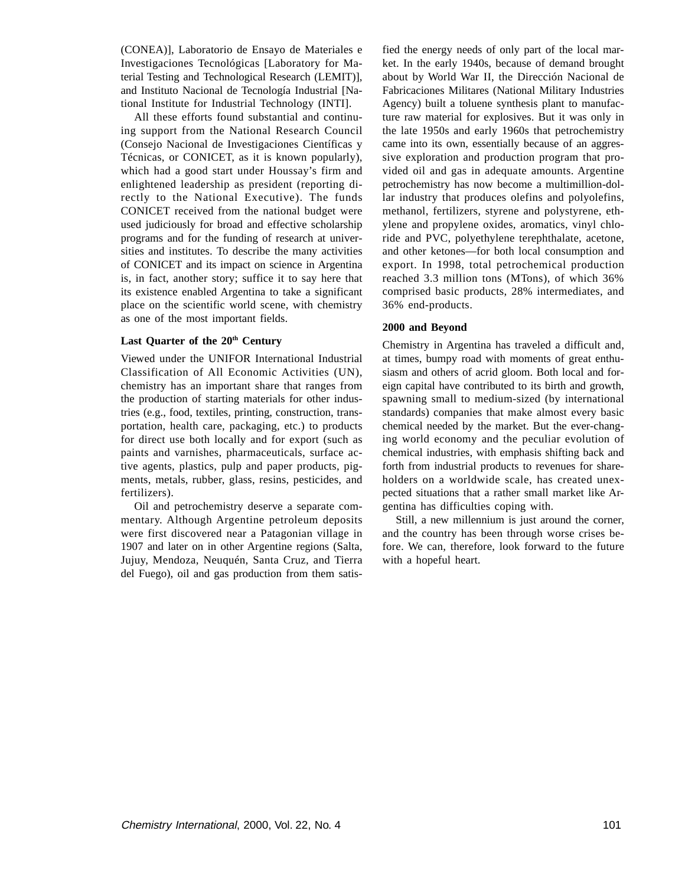(CONEA)], Laboratorio de Ensayo de Materiales e Investigaciones Tecnológicas [Laboratory for Material Testing and Technological Research (LEMIT)], and Instituto Nacional de Tecnología Industrial [National Institute for Industrial Technology (INTI].

All these efforts found substantial and continuing support from the National Research Council (Consejo Nacional de Investigaciones Científicas y Técnicas, or CONICET, as it is known popularly), which had a good start under Houssay's firm and enlightened leadership as president (reporting directly to the National Executive). The funds CONICET received from the national budget were used judiciously for broad and effective scholarship programs and for the funding of research at universities and institutes. To describe the many activities of CONICET and its impact on science in Argentina is, in fact, another story; suffice it to say here that its existence enabled Argentina to take a significant place on the scientific world scene, with chemistry as one of the most important fields.

## Last Quarter of the 20<sup>th</sup> Century

Viewed under the UNIFOR International Industrial Classification of All Economic Activities (UN), chemistry has an important share that ranges from the production of starting materials for other industries (e.g., food, textiles, printing, construction, transportation, health care, packaging, etc.) to products for direct use both locally and for export (such as paints and varnishes, pharmaceuticals, surface active agents, plastics, pulp and paper products, pigments, metals, rubber, glass, resins, pesticides, and fertilizers).

Oil and petrochemistry deserve a separate commentary. Although Argentine petroleum deposits were first discovered near a Patagonian village in 1907 and later on in other Argentine regions (Salta, Jujuy, Mendoza, Neuquén, Santa Cruz, and Tierra del Fuego), oil and gas production from them satis-

fied the energy needs of only part of the local market. In the early 1940s, because of demand brought about by World War II, the Dirección Nacional de Fabricaciones Militares (National Military Industries Agency) built a toluene synthesis plant to manufacture raw material for explosives. But it was only in the late 1950s and early 1960s that petrochemistry came into its own, essentially because of an aggressive exploration and production program that provided oil and gas in adequate amounts. Argentine petrochemistry has now become a multimillion-dollar industry that produces olefins and polyolefins, methanol, fertilizers, styrene and polystyrene, ethylene and propylene oxides, aromatics, vinyl chloride and PVC, polyethylene terephthalate, acetone, and other ketones—for both local consumption and export. In 1998, total petrochemical production reached 3.3 million tons (MTons), of which 36% comprised basic products, 28% intermediates, and 36% end-products.

#### **2000 and Beyond**

Chemistry in Argentina has traveled a difficult and, at times, bumpy road with moments of great enthusiasm and others of acrid gloom. Both local and foreign capital have contributed to its birth and growth, spawning small to medium-sized (by international standards) companies that make almost every basic chemical needed by the market. But the ever-changing world economy and the peculiar evolution of chemical industries, with emphasis shifting back and forth from industrial products to revenues for shareholders on a worldwide scale, has created unexpected situations that a rather small market like Argentina has difficulties coping with.

Still, a new millennium is just around the corner, and the country has been through worse crises before. We can, therefore, look forward to the future with a hopeful heart.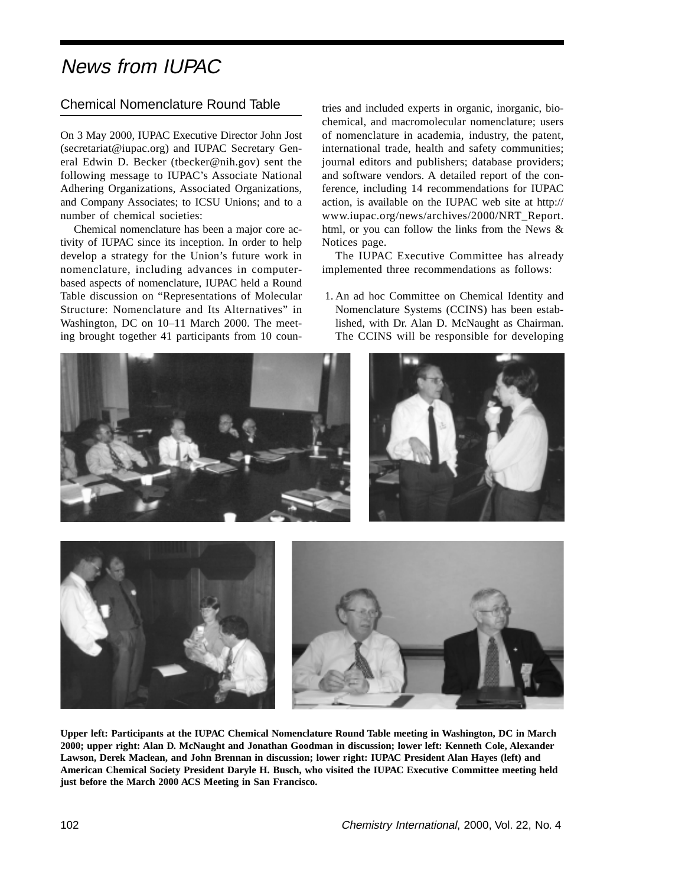# News from IUPAC

## Chemical Nomenclature Round Table

On 3 May 2000, IUPAC Executive Director John Jost (secretariat@iupac.org) and IUPAC Secretary General Edwin D. Becker (tbecker@nih.gov) sent the following message to IUPAC's Associate National Adhering Organizations, Associated Organizations, and Company Associates; to ICSU Unions; and to a number of chemical societies:

Chemical nomenclature has been a major core activity of IUPAC since its inception. In order to help develop a strategy for the Union's future work in nomenclature, including advances in computerbased aspects of nomenclature, IUPAC held a Round Table discussion on "Representations of Molecular Structure: Nomenclature and Its Alternatives" in Washington, DC on 10–11 March 2000. The meeting brought together 41 participants from 10 countries and included experts in organic, inorganic, biochemical, and macromolecular nomenclature; users of nomenclature in academia, industry, the patent, international trade, health and safety communities; journal editors and publishers; database providers; and software vendors. A detailed report of the conference, including 14 recommendations for IUPAC action, is available on the IUPAC web site at http:// www.iupac.org/news/archives/2000/NRT\_Report. html, or you can follow the links from the News & Notices page.

The IUPAC Executive Committee has already implemented three recommendations as follows:

 1. An ad hoc Committee on Chemical Identity and Nomenclature Systems (CCINS) has been established, with Dr. Alan D. McNaught as Chairman. The CCINS will be responsible for developing



**Upper left: Participants at the IUPAC Chemical Nomenclature Round Table meeting in Washington, DC in March 2000; upper right: Alan D. McNaught and Jonathan Goodman in discussion; lower left: Kenneth Cole, Alexander Lawson, Derek Maclean, and John Brennan in discussion; lower right: IUPAC President Alan Hayes (left) and American Chemical Society President Daryle H. Busch, who visited the IUPAC Executive Committee meeting held just before the March 2000 ACS Meeting in San Francisco.**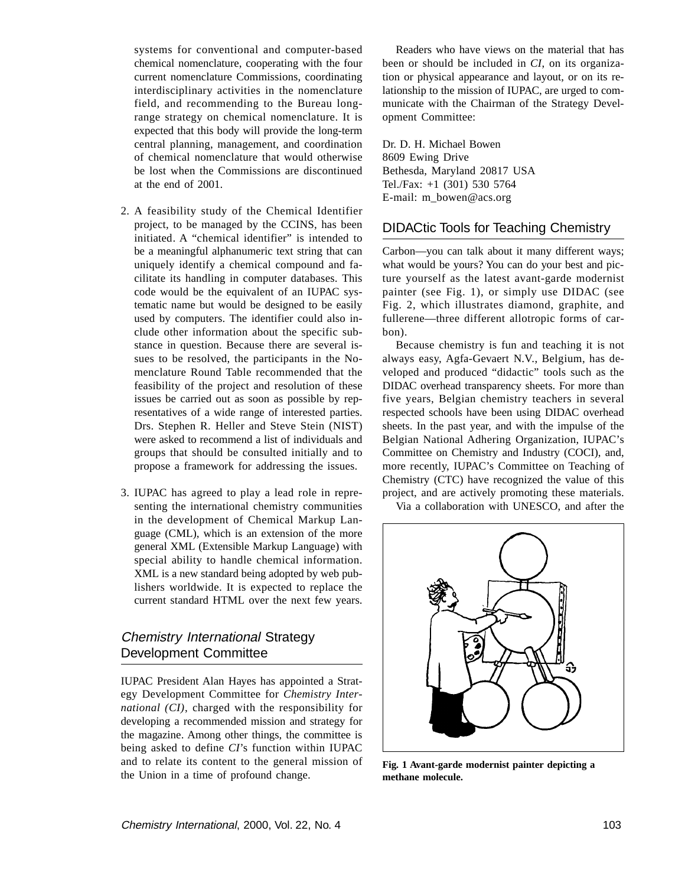systems for conventional and computer-based chemical nomenclature, cooperating with the four current nomenclature Commissions, coordinating interdisciplinary activities in the nomenclature field, and recommending to the Bureau longrange strategy on chemical nomenclature. It is expected that this body will provide the long-term central planning, management, and coordination of chemical nomenclature that would otherwise be lost when the Commissions are discontinued at the end of 2001.

- 2. A feasibility study of the Chemical Identifier project, to be managed by the CCINS, has been initiated. A "chemical identifier" is intended to be a meaningful alphanumeric text string that can uniquely identify a chemical compound and facilitate its handling in computer databases. This code would be the equivalent of an IUPAC systematic name but would be designed to be easily used by computers. The identifier could also include other information about the specific substance in question. Because there are several issues to be resolved, the participants in the Nomenclature Round Table recommended that the feasibility of the project and resolution of these issues be carried out as soon as possible by representatives of a wide range of interested parties. Drs. Stephen R. Heller and Steve Stein (NIST) were asked to recommend a list of individuals and groups that should be consulted initially and to propose a framework for addressing the issues.
- 3. IUPAC has agreed to play a lead role in representing the international chemistry communities in the development of Chemical Markup Language (CML), which is an extension of the more general XML (Extensible Markup Language) with special ability to handle chemical information. XML is a new standard being adopted by web publishers worldwide. It is expected to replace the current standard HTML over the next few years.

## Chemistry International Strategy Development Committee

IUPAC President Alan Hayes has appointed a Strategy Development Committee for *Chemistry International (CI)*, charged with the responsibility for developing a recommended mission and strategy for the magazine. Among other things, the committee is being asked to define *CI*'s function within IUPAC and to relate its content to the general mission of the Union in a time of profound change.

Readers who have views on the material that has been or should be included in *CI*, on its organization or physical appearance and layout, or on its relationship to the mission of IUPAC, are urged to communicate with the Chairman of the Strategy Development Committee:

Dr. D. H. Michael Bowen 8609 Ewing Drive Bethesda, Maryland 20817 USA Tel./Fax: +1 (301) 530 5764 E-mail: m\_bowen@acs.org

## DIDACtic Tools for Teaching Chemistry

Carbon—you can talk about it many different ways; what would be yours? You can do your best and picture yourself as the latest avant-garde modernist painter (see Fig. 1), or simply use DIDAC (see Fig. 2, which illustrates diamond, graphite, and fullerene—three different allotropic forms of carbon).

Because chemistry is fun and teaching it is not always easy, Agfa-Gevaert N.V., Belgium, has developed and produced "didactic" tools such as the DIDAC overhead transparency sheets. For more than five years, Belgian chemistry teachers in several respected schools have been using DIDAC overhead sheets. In the past year, and with the impulse of the Belgian National Adhering Organization, IUPAC's Committee on Chemistry and Industry (COCI), and, more recently, IUPAC's Committee on Teaching of Chemistry (CTC) have recognized the value of this project, and are actively promoting these materials.

Via a collaboration with UNESCO, and after the



**Fig. 1 Avant-garde modernist painter depicting a methane molecule.**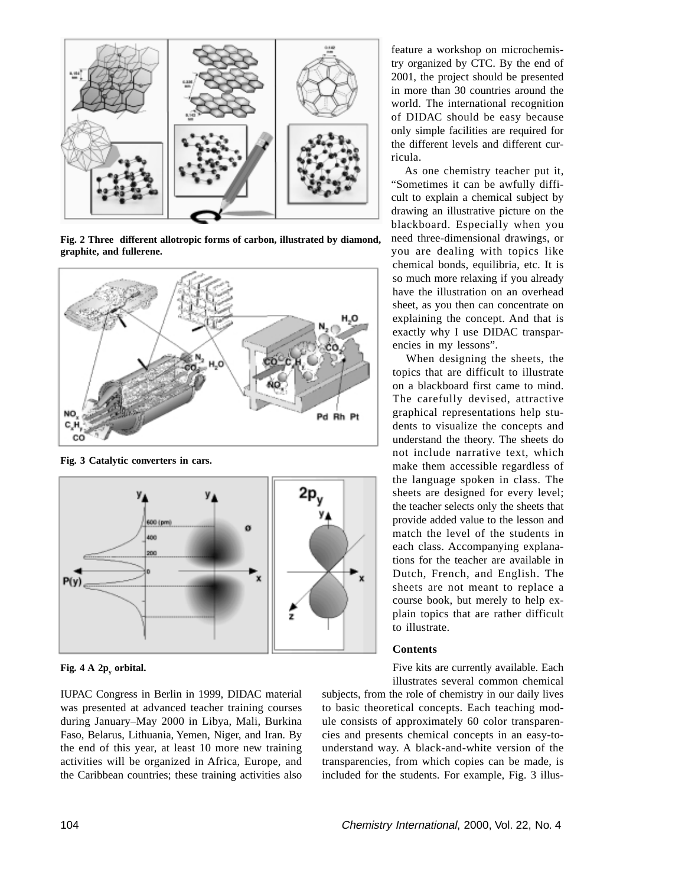

**Fig. 2 Three different allotropic forms of carbon, illustrated by diamond, graphite, and fullerene.**



**Fig. 3 Catalytic converters in cars.**



Fig. 4 A 2p<sub>y</sub> orbital.

IUPAC Congress in Berlin in 1999, DIDAC material was presented at advanced teacher training courses during January–May 2000 in Libya, Mali, Burkina Faso, Belarus, Lithuania, Yemen, Niger, and Iran. By the end of this year, at least 10 more new training activities will be organized in Africa, Europe, and the Caribbean countries; these training activities also

feature a workshop on microchemistry organized by CTC. By the end of 2001, the project should be presented in more than 30 countries around the world. The international recognition of DIDAC should be easy because only simple facilities are required for the different levels and different curricula.

As one chemistry teacher put it, "Sometimes it can be awfully difficult to explain a chemical subject by drawing an illustrative picture on the blackboard. Especially when you need three-dimensional drawings, or you are dealing with topics like chemical bonds, equilibria, etc. It is so much more relaxing if you already have the illustration on an overhead sheet, as you then can concentrate on explaining the concept. And that is exactly why I use DIDAC transparencies in my lessons".

When designing the sheets, the topics that are difficult to illustrate on a blackboard first came to mind. The carefully devised, attractive graphical representations help students to visualize the concepts and understand the theory. The sheets do not include narrative text, which make them accessible regardless of the language spoken in class. The sheets are designed for every level; the teacher selects only the sheets that provide added value to the lesson and match the level of the students in each class. Accompanying explanations for the teacher are available in Dutch, French, and English. The sheets are not meant to replace a course book, but merely to help explain topics that are rather difficult to illustrate.

## **Contents**

Five kits are currently available. Each illustrates several common chemical

subjects, from the role of chemistry in our daily lives to basic theoretical concepts. Each teaching module consists of approximately 60 color transparencies and presents chemical concepts in an easy-tounderstand way. A black-and-white version of the transparencies, from which copies can be made, is included for the students. For example, Fig. 3 illus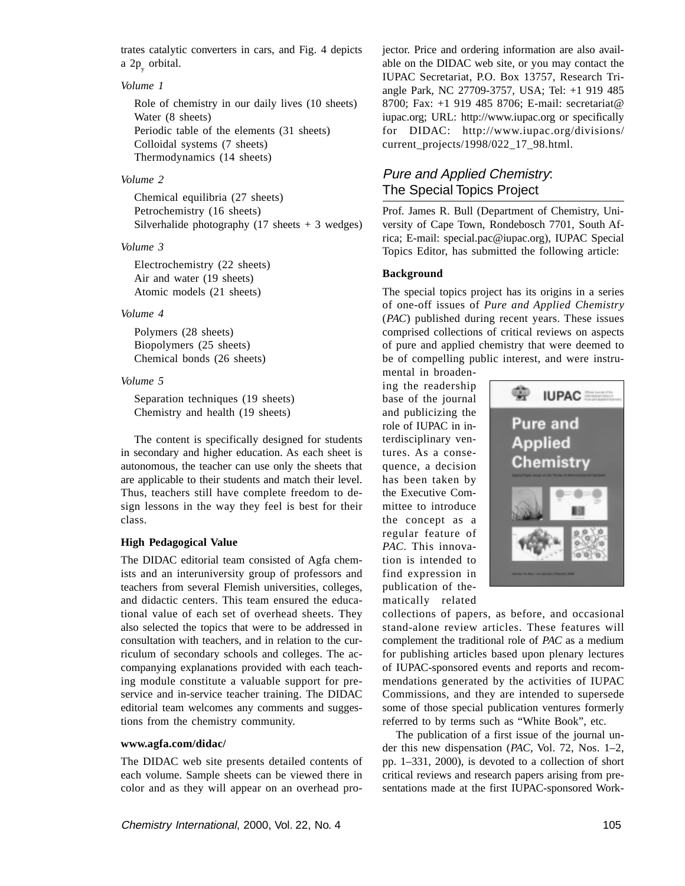trates catalytic converters in cars, and Fig. 4 depicts a 2p<sub>y</sub> orbital.

## *Volume 1*

Role of chemistry in our daily lives (10 sheets) Water (8 sheets) Periodic table of the elements (31 sheets) Colloidal systems (7 sheets) Thermodynamics (14 sheets)

## *Volume 2*

Chemical equilibria (27 sheets) Petrochemistry (16 sheets) Silverhalide photography  $(17 \text{ sheets} + 3 \text{ wedges})$ 

### *Volume 3*

Electrochemistry (22 sheets) Air and water (19 sheets) Atomic models (21 sheets)

## *Volume 4*

Polymers (28 sheets) Biopolymers (25 sheets) Chemical bonds (26 sheets)

### *Volume 5*

Separation techniques (19 sheets) Chemistry and health (19 sheets)

The content is specifically designed for students in secondary and higher education. As each sheet is autonomous, the teacher can use only the sheets that are applicable to their students and match their level. Thus, teachers still have complete freedom to design lessons in the way they feel is best for their class.

## **High Pedagogical Value**

The DIDAC editorial team consisted of Agfa chemists and an interuniversity group of professors and teachers from several Flemish universities, colleges, and didactic centers. This team ensured the educational value of each set of overhead sheets. They also selected the topics that were to be addressed in consultation with teachers, and in relation to the curriculum of secondary schools and colleges. The accompanying explanations provided with each teaching module constitute a valuable support for preservice and in-service teacher training. The DIDAC editorial team welcomes any comments and suggestions from the chemistry community.

### **www.agfa.com/didac/**

The DIDAC web site presents detailed contents of each volume. Sample sheets can be viewed there in color and as they will appear on an overhead projector. Price and ordering information are also available on the DIDAC web site, or you may contact the IUPAC Secretariat, P.O. Box 13757, Research Triangle Park, NC 27709-3757, USA; Tel: +1 919 485 8700; Fax: +1 919 485 8706; E-mail: secretariat@ iupac.org; URL: http://www.iupac.org or specifically for DIDAC: http://www.iupac.org/divisions/ current\_projects/1998/022\_17\_98.html.

## Pure and Applied Chemistry: The Special Topics Project

Prof. James R. Bull (Department of Chemistry, University of Cape Town, Rondebosch 7701, South Africa; E-mail: special.pac@iupac.org), IUPAC Special Topics Editor, has submitted the following article:

### **Background**

The special topics project has its origins in a series of one-off issues of *Pure and Applied Chemistry* (*PAC*) published during recent years. These issues comprised collections of critical reviews on aspects of pure and applied chemistry that were deemed to be of compelling public interest, and were instru-

mental in broadening the readership base of the journal and publicizing the role of IUPAC in interdisciplinary ventures. As a consequence, a decision has been taken by the Executive Committee to introduce the concept as a regular feature of *PAC.* This innovation is intended to find expression in publication of thematically related



collections of papers, as before, and occasional stand-alone review articles. These features will complement the traditional role of *PAC* as a medium for publishing articles based upon plenary lectures of IUPAC-sponsored events and reports and recommendations generated by the activities of IUPAC Commissions, and they are intended to supersede some of those special publication ventures formerly referred to by terms such as "White Book", etc*.*

The publication of a first issue of the journal under this new dispensation (*PAC*, Vol. 72, Nos. 1–2, pp. 1–331, 2000), is devoted to a collection of short critical reviews and research papers arising from presentations made at the first IUPAC-sponsored Work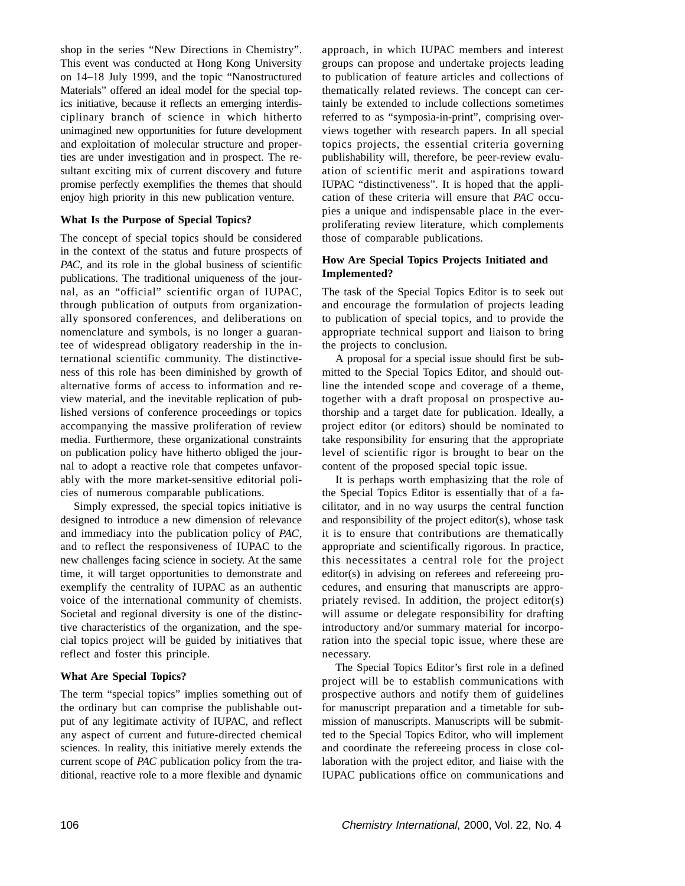shop in the series "New Directions in Chemistry". This event was conducted at Hong Kong University on 14–18 July 1999, and the topic "Nanostructured Materials" offered an ideal model for the special topics initiative, because it reflects an emerging interdisciplinary branch of science in which hitherto unimagined new opportunities for future development and exploitation of molecular structure and properties are under investigation and in prospect. The resultant exciting mix of current discovery and future promise perfectly exemplifies the themes that should enjoy high priority in this new publication venture.

## **What Is the Purpose of Special Topics?**

The concept of special topics should be considered in the context of the status and future prospects of *PAC*, and its role in the global business of scientific publications. The traditional uniqueness of the journal, as an "official" scientific organ of IUPAC, through publication of outputs from organizationally sponsored conferences, and deliberations on nomenclature and symbols, is no longer a guarantee of widespread obligatory readership in the international scientific community. The distinctiveness of this role has been diminished by growth of alternative forms of access to information and review material, and the inevitable replication of published versions of conference proceedings or topics accompanying the massive proliferation of review media. Furthermore, these organizational constraints on publication policy have hitherto obliged the journal to adopt a reactive role that competes unfavorably with the more market-sensitive editorial policies of numerous comparable publications.

Simply expressed, the special topics initiative is designed to introduce a new dimension of relevance and immediacy into the publication policy of *PAC*, and to reflect the responsiveness of IUPAC to the new challenges facing science in society. At the same time, it will target opportunities to demonstrate and exemplify the centrality of IUPAC as an authentic voice of the international community of chemists. Societal and regional diversity is one of the distinctive characteristics of the organization, and the special topics project will be guided by initiatives that reflect and foster this principle.

## **What Are Special Topics?**

The term "special topics" implies something out of the ordinary but can comprise the publishable output of any legitimate activity of IUPAC, and reflect any aspect of current and future-directed chemical sciences. In reality, this initiative merely extends the current scope of *PAC* publication policy from the traditional, reactive role to a more flexible and dynamic

approach, in which IUPAC members and interest groups can propose and undertake projects leading to publication of feature articles and collections of thematically related reviews. The concept can certainly be extended to include collections sometimes referred to as "symposia-in-print", comprising overviews together with research papers. In all special topics projects, the essential criteria governing publishability will, therefore, be peer-review evaluation of scientific merit and aspirations toward IUPAC "distinctiveness". It is hoped that the application of these criteria will ensure that *PAC* occupies a unique and indispensable place in the everproliferating review literature, which complements those of comparable publications.

## **How Are Special Topics Projects Initiated and Implemented?**

The task of the Special Topics Editor is to seek out and encourage the formulation of projects leading to publication of special topics, and to provide the appropriate technical support and liaison to bring the projects to conclusion.

A proposal for a special issue should first be submitted to the Special Topics Editor, and should outline the intended scope and coverage of a theme, together with a draft proposal on prospective authorship and a target date for publication. Ideally, a project editor (or editors) should be nominated to take responsibility for ensuring that the appropriate level of scientific rigor is brought to bear on the content of the proposed special topic issue.

It is perhaps worth emphasizing that the role of the Special Topics Editor is essentially that of a facilitator, and in no way usurps the central function and responsibility of the project editor(s), whose task it is to ensure that contributions are thematically appropriate and scientifically rigorous. In practice, this necessitates a central role for the project editor(s) in advising on referees and refereeing procedures, and ensuring that manuscripts are appropriately revised. In addition, the project editor(s) will assume or delegate responsibility for drafting introductory and/or summary material for incorporation into the special topic issue, where these are necessary.

The Special Topics Editor's first role in a defined project will be to establish communications with prospective authors and notify them of guidelines for manuscript preparation and a timetable for submission of manuscripts. Manuscripts will be submitted to the Special Topics Editor, who will implement and coordinate the refereeing process in close collaboration with the project editor, and liaise with the IUPAC publications office on communications and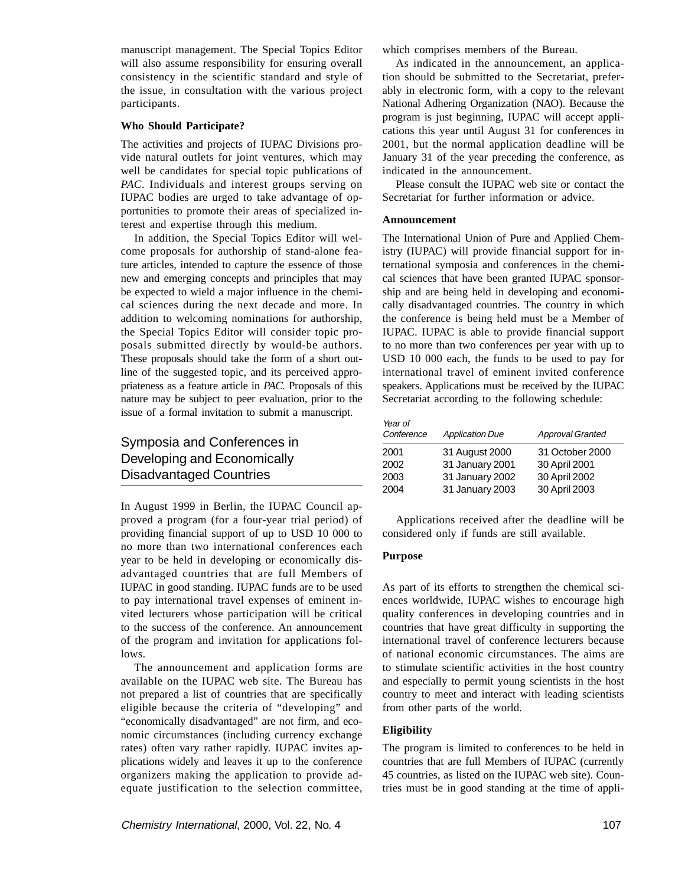manuscript management. The Special Topics Editor will also assume responsibility for ensuring overall consistency in the scientific standard and style of the issue, in consultation with the various project participants.

### **Who Should Participate?**

The activities and projects of IUPAC Divisions provide natural outlets for joint ventures, which may well be candidates for special topic publications of *PAC.* Individuals and interest groups serving on IUPAC bodies are urged to take advantage of opportunities to promote their areas of specialized interest and expertise through this medium.

In addition, the Special Topics Editor will welcome proposals for authorship of stand-alone feature articles, intended to capture the essence of those new and emerging concepts and principles that may be expected to wield a major influence in the chemical sciences during the next decade and more. In addition to welcoming nominations for authorship, the Special Topics Editor will consider topic proposals submitted directly by would-be authors. These proposals should take the form of a short outline of the suggested topic, and its perceived appropriateness as a feature article in *PAC.* Proposals of this nature may be subject to peer evaluation, prior to the issue of a formal invitation to submit a manuscript.

## Symposia and Conferences in Developing and Economically Disadvantaged Countries

In August 1999 in Berlin, the IUPAC Council approved a program (for a four-year trial period) of providing financial support of up to USD 10 000 to no more than two international conferences each year to be held in developing or economically disadvantaged countries that are full Members of IUPAC in good standing. IUPAC funds are to be used to pay international travel expenses of eminent invited lecturers whose participation will be critical to the success of the conference. An announcement of the program and invitation for applications follows.

The announcement and application forms are available on the IUPAC web site. The Bureau has not prepared a list of countries that are specifically eligible because the criteria of "developing" and "economically disadvantaged" are not firm, and economic circumstances (including currency exchange rates) often vary rather rapidly. IUPAC invites applications widely and leaves it up to the conference organizers making the application to provide adequate justification to the selection committee,

which comprises members of the Bureau.

As indicated in the announcement, an application should be submitted to the Secretariat, preferably in electronic form, with a copy to the relevant National Adhering Organization (NAO). Because the program is just beginning, IUPAC will accept applications this year until August 31 for conferences in 2001, but the normal application deadline will be January 31 of the year preceding the conference, as indicated in the announcement.

Please consult the IUPAC web site or contact the Secretariat for further information or advice.

### **Announcement**

The International Union of Pure and Applied Chemistry (IUPAC) will provide financial support for international symposia and conferences in the chemical sciences that have been granted IUPAC sponsorship and are being held in developing and economically disadvantaged countries. The country in which the conference is being held must be a Member of IUPAC. IUPAC is able to provide financial support to no more than two conferences per year with up to USD 10 000 each, the funds to be used to pay for international travel of eminent invited conference speakers. Applications must be received by the IUPAC Secretariat according to the following schedule:

| Year of<br>Conference | <b>Application Due</b>             | <b>Approval Granted</b>        |
|-----------------------|------------------------------------|--------------------------------|
| 2001                  | 31 August 2000                     | 31 October 2000                |
| 2002<br>2003          | 31 January 2001<br>31 January 2002 | 30 April 2001<br>30 April 2002 |
| 2004                  | 31 January 2003                    | 30 April 2003                  |

Applications received after the deadline will be considered only if funds are still available.

## **Purpose**

As part of its efforts to strengthen the chemical sciences worldwide, IUPAC wishes to encourage high quality conferences in developing countries and in countries that have great difficulty in supporting the international travel of conference lecturers because of national economic circumstances. The aims are to stimulate scientific activities in the host country and especially to permit young scientists in the host country to meet and interact with leading scientists from other parts of the world.

## **Eligibility**

The program is limited to conferences to be held in countries that are full Members of IUPAC (currently 45 countries, as listed on the IUPAC web site). Countries must be in good standing at the time of appli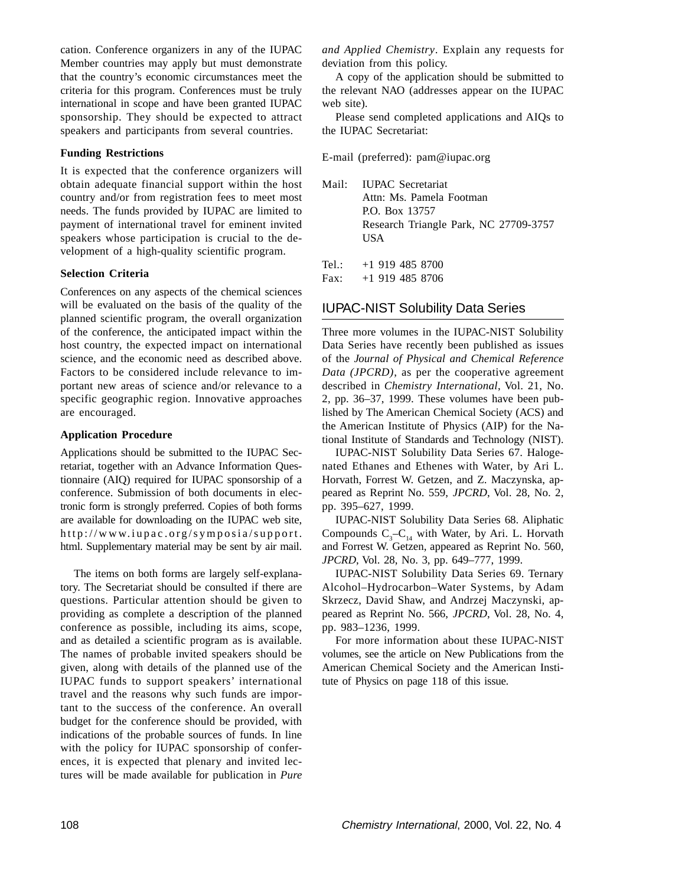cation. Conference organizers in any of the IUPAC Member countries may apply but must demonstrate that the country's economic circumstances meet the criteria for this program. Conferences must be truly international in scope and have been granted IUPAC sponsorship. They should be expected to attract speakers and participants from several countries.

## **Funding Restrictions**

It is expected that the conference organizers will obtain adequate financial support within the host country and/or from registration fees to meet most needs. The funds provided by IUPAC are limited to payment of international travel for eminent invited speakers whose participation is crucial to the development of a high-quality scientific program.

## **Selection Criteria**

Conferences on any aspects of the chemical sciences will be evaluated on the basis of the quality of the planned scientific program, the overall organization of the conference, the anticipated impact within the host country, the expected impact on international science, and the economic need as described above. Factors to be considered include relevance to important new areas of science and/or relevance to a specific geographic region. Innovative approaches are encouraged.

## **Application Procedure**

Applications should be submitted to the IUPAC Secretariat, together with an Advance Information Questionnaire (AIQ) required for IUPAC sponsorship of a conference. Submission of both documents in electronic form is strongly preferred. Copies of both forms are available for downloading on the IUPAC web site, http://www.iupac.org/symposia/support. html. Supplementary material may be sent by air mail.

The items on both forms are largely self-explanatory. The Secretariat should be consulted if there are questions. Particular attention should be given to providing as complete a description of the planned conference as possible, including its aims, scope, and as detailed a scientific program as is available. The names of probable invited speakers should be given, along with details of the planned use of the IUPAC funds to support speakers' international travel and the reasons why such funds are important to the success of the conference. An overall budget for the conference should be provided, with indications of the probable sources of funds. In line with the policy for IUPAC sponsorship of conferences, it is expected that plenary and invited lectures will be made available for publication in *Pure*

*and Applied Chemistry*. Explain any requests for deviation from this policy.

A copy of the application should be submitted to the relevant NAO (addresses appear on the IUPAC web site).

Please send completed applications and AIQs to the IUPAC Secretariat:

E-mail (preferred): pam@iupac.org

Mail: IUPAC Secretariat Attn: Ms. Pamela Footman P.O. Box 13757 Research Triangle Park, NC 27709-3757 USA Tel.: +1 919 485 8700

Fax: +1 919 485 8706

## IUPAC-NIST Solubility Data Series

Three more volumes in the IUPAC-NIST Solubility Data Series have recently been published as issues of the *Journal of Physical and Chemical Reference Data (JPCRD)*, as per the cooperative agreement described in *Chemistry International*, Vol. 21, No. 2, pp. 36–37, 1999. These volumes have been published by The American Chemical Society (ACS) and the American Institute of Physics (AIP) for the National Institute of Standards and Technology (NIST).

IUPAC-NIST Solubility Data Series 67. Halogenated Ethanes and Ethenes with Water, by Ari L. Horvath, Forrest W. Getzen, and Z. Maczynska, appeared as Reprint No. 559, *JPCRD*, Vol. 28, No. 2, pp. 395–627, 1999.

IUPAC-NIST Solubility Data Series 68. Aliphatic Compounds  $C_3 - C_{14}$  with Water, by Ari. L. Horvath and Forrest W. Getzen, appeared as Reprint No. 560, *JPCRD*, Vol. 28, No. 3, pp. 649–777, 1999.

IUPAC-NIST Solubility Data Series 69. Ternary Alcohol–Hydrocarbon–Water Systems, by Adam Skrzecz, David Shaw, and Andrzej Maczynski, appeared as Reprint No. 566, *JPCRD*, Vol. 28, No. 4, pp. 983–1236, 1999.

For more information about these IUPAC-NIST volumes, see the article on New Publications from the American Chemical Society and the American Institute of Physics on page 118 of this issue.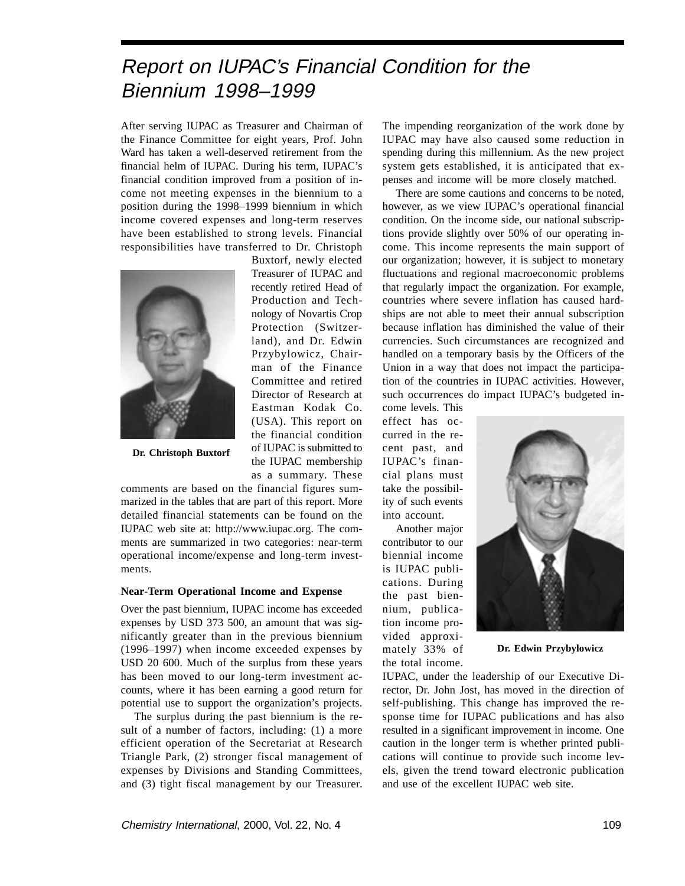# Report on IUPAC's Financial Condition for the Biennium 1998–1999

After serving IUPAC as Treasurer and Chairman of the Finance Committee for eight years, Prof. John Ward has taken a well-deserved retirement from the financial helm of IUPAC. During his term, IUPAC's financial condition improved from a position of income not meeting expenses in the biennium to a position during the 1998–1999 biennium in which income covered expenses and long-term reserves have been established to strong levels. Financial responsibilities have transferred to Dr. Christoph



**Dr. Christoph Buxtorf**

Buxtorf, newly elected Treasurer of IUPAC and recently retired Head of Production and Technology of Novartis Crop Protection (Switzerland), and Dr. Edwin Przybylowicz, Chairman of the Finance Committee and retired Director of Research at Eastman Kodak Co. (USA). This report on the financial condition of IUPAC is submitted to the IUPAC membership as a summary. These

comments are based on the financial figures summarized in the tables that are part of this report. More detailed financial statements can be found on the IUPAC web site at: http://www.iupac.org. The comments are summarized in two categories: near-term operational income/expense and long-term investments.

### **Near-Term Operational Income and Expense**

Over the past biennium, IUPAC income has exceeded expenses by USD 373 500, an amount that was significantly greater than in the previous biennium (1996–1997) when income exceeded expenses by USD 20 600. Much of the surplus from these years has been moved to our long-term investment accounts, where it has been earning a good return for potential use to support the organization's projects.

The surplus during the past biennium is the result of a number of factors, including: (1) a more efficient operation of the Secretariat at Research Triangle Park, (2) stronger fiscal management of expenses by Divisions and Standing Committees, and (3) tight fiscal management by our Treasurer. The impending reorganization of the work done by IUPAC may have also caused some reduction in spending during this millennium. As the new project system gets established, it is anticipated that expenses and income will be more closely matched.

There are some cautions and concerns to be noted, however, as we view IUPAC's operational financial condition. On the income side, our national subscriptions provide slightly over 50% of our operating income. This income represents the main support of our organization; however, it is subject to monetary fluctuations and regional macroeconomic problems that regularly impact the organization. For example, countries where severe inflation has caused hardships are not able to meet their annual subscription because inflation has diminished the value of their currencies. Such circumstances are recognized and handled on a temporary basis by the Officers of the Union in a way that does not impact the participation of the countries in IUPAC activities. However, such occurrences do impact IUPAC's budgeted in-

come levels. This effect has occurred in the recent past, and IUPAC's financial plans must take the possibility of such events into account.

Another major contributor to our biennial income is IUPAC publications. During the past biennium, publication income provided approximately 33% of the total income.



**Dr. Edwin Przybylowicz**

IUPAC, under the leadership of our Executive Director, Dr. John Jost, has moved in the direction of self-publishing. This change has improved the response time for IUPAC publications and has also resulted in a significant improvement in income. One caution in the longer term is whether printed publications will continue to provide such income levels, given the trend toward electronic publication and use of the excellent IUPAC web site.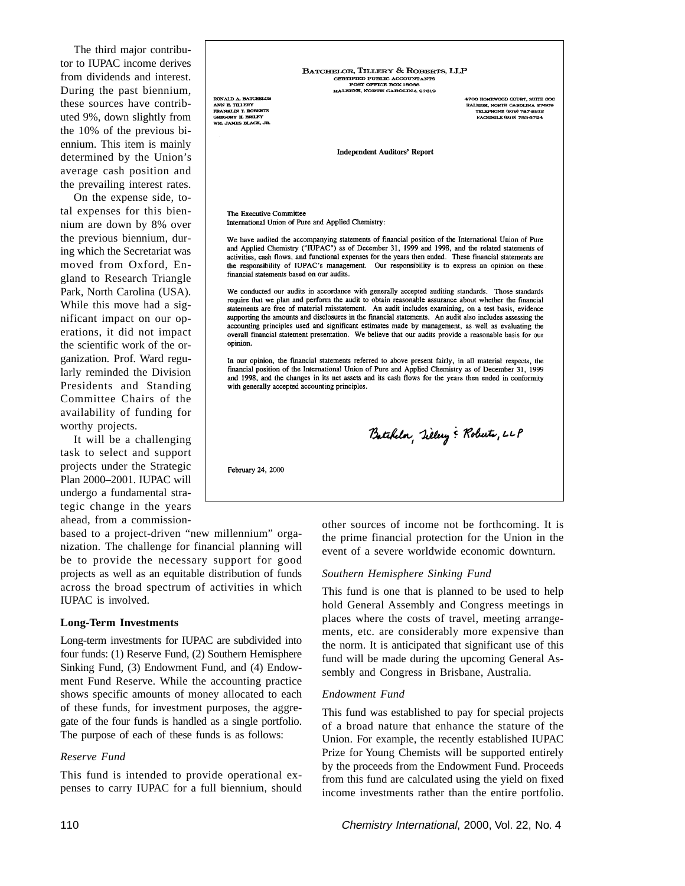The third major contributor to IUPAC income derives from dividends and interest. During the past biennium, these sources have contributed 9%, down slightly from the 10% of the previous biennium. This item is mainly determined by the Union's average cash position and the prevailing interest rates.

On the expense side, total expenses for this biennium are down by 8% over the previous biennium, during which the Secretariat was moved from Oxford, England to Research Triangle Park, North Carolina (USA). While this move had a significant impact on our operations, it did not impact the scientific work of the organization. Prof. Ward regularly reminded the Division Presidents and Standing Committee Chairs of the availability of funding for worthy projects.

It will be a challenging task to select and support projects under the Strategic Plan 2000–2001. IUPAC will undergo a fundamental strategic change in the years ahead, from a commission-

based to a project-driven "new millennium" organization. The challenge for financial planning will be to provide the necessary support for good projects as well as an equitable distribution of funds across the broad spectrum of activities in which IUPAC is involved.

#### **Long-Term Investments**

Long-term investments for IUPAC are subdivided into four funds: (1) Reserve Fund, (2) Southern Hemisphere Sinking Fund, (3) Endowment Fund, and (4) Endowment Fund Reserve. While the accounting practice shows specific amounts of money allocated to each of these funds, for investment purposes, the aggregate of the four funds is handled as a single portfolio. The purpose of each of these funds is as follows:

## *Reserve Fund*

This fund is intended to provide operational expenses to carry IUPAC for a full biennium, should

BATCHELOR, TILLERY & ROBERTS, LLP **CERTIFIED PUBLIC ACCOUNTANTS POST OFFICE BOX 1808** RALEIGH, NORTH CAROLINA 27619

**1700 HOMEWOOD COURT, SUITE 300** 

RALEIGH, NORTH CAROLINA 27609

TRI EPHONE (919) 787-8212

**EACSIMILE (919) 283-8224** 

ONALD A. BATCHELOR ANN H. TILLERY FRANKLIN T. ROBERTS GREGORY H. BRILET TAMPE BLACK . IR

**Independent Auditors' Report** 

The Executive Committee International Union of Pure and Applied Chemistry:

We have audited the accompanying statements of financial position of the International Union of Pure and Applied Chemistry ("IUPAC") as of December 31, 1999 and 1998, and the related statements of activities, cash flows, and functional expenses for the years then ended. These financial statements are the responsibility of IUPAC's management. Our responsibility is to express an opinion on these financial statements based on our audits.

We conducted our audits in accordance with generally accepted auditing standards. Those standards require that we plan and perform the audit to obtain reasonable assurance about whether the financial statements are free of material misstatement. An audit includes examining, on a test basis, evidence supporting the amounts and disclosures in the financial statements. An audit also includes assessing the accounting principles used and significant estimates made by management, as well as evaluating the overall financial statement presentation. We believe that our audits provide a reasonable basis for our opinion.

In our opinion, the financial statements referred to above present fairly, in all material respects, the financial position of the International Union of Pure and Applied Chemistry as of December 31, 1999 and 1998, and the changes in its net assets and its cash flows for the years then ended in conformity with generally accepted accounting principles.

February 24, 2000

other sources of income not be forthcoming. It is the prime financial protection for the Union in the event of a severe worldwide economic downturn.

Batchelor, Tillery : Roberts, LLP

#### *Southern Hemisphere Sinking Fund*

This fund is one that is planned to be used to help hold General Assembly and Congress meetings in places where the costs of travel, meeting arrangements, etc. are considerably more expensive than the norm. It is anticipated that significant use of this fund will be made during the upcoming General Assembly and Congress in Brisbane, Australia.

### *Endowment Fund*

This fund was established to pay for special projects of a broad nature that enhance the stature of the Union. For example, the recently established IUPAC Prize for Young Chemists will be supported entirely by the proceeds from the Endowment Fund. Proceeds from this fund are calculated using the yield on fixed income investments rather than the entire portfolio.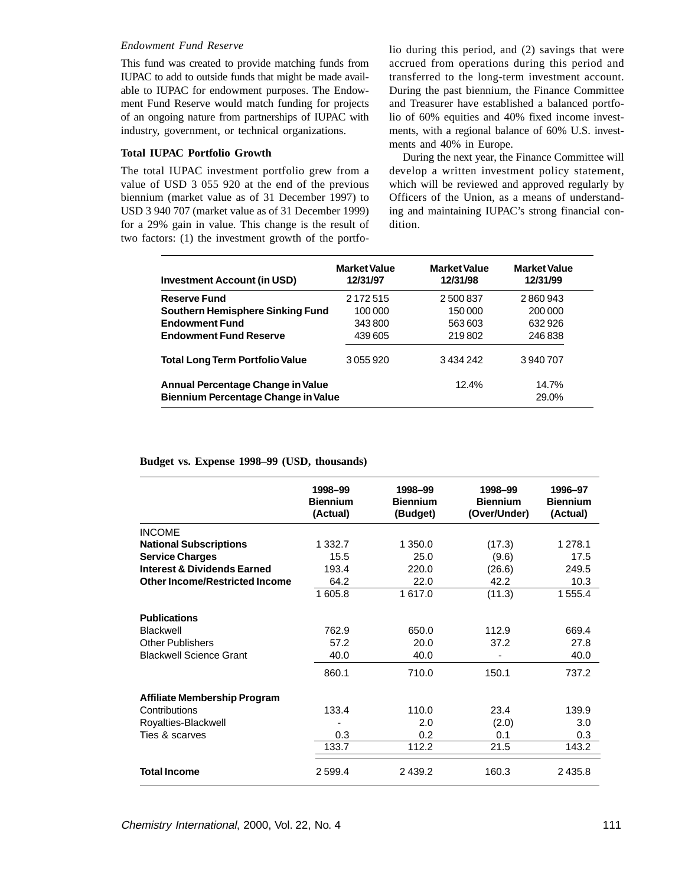### *Endowment Fund Reserve*

This fund was created to provide matching funds from IUPAC to add to outside funds that might be made available to IUPAC for endowment purposes. The Endowment Fund Reserve would match funding for projects of an ongoing nature from partnerships of IUPAC with industry, government, or technical organizations.

## **Total IUPAC Portfolio Growth**

The total IUPAC investment portfolio grew from a value of USD 3 055 920 at the end of the previous biennium (market value as of 31 December 1997) to USD 3 940 707 (market value as of 31 December 1999) for a 29% gain in value. This change is the result of two factors: (1) the investment growth of the portfo-

lio during this period, and (2) savings that were accrued from operations during this period and transferred to the long-term investment account. During the past biennium, the Finance Committee and Treasurer have established a balanced portfolio of 60% equities and 40% fixed income investments, with a regional balance of 60% U.S. investments and 40% in Europe.

During the next year, the Finance Committee will develop a written investment policy statement, which will be reviewed and approved regularly by Officers of the Union, as a means of understanding and maintaining IUPAC's strong financial condition.

| <b>Investment Account (in USD)</b>                                              | <b>Market Value</b> | <b>Market Value</b> | <b>Market Value</b> |
|---------------------------------------------------------------------------------|---------------------|---------------------|---------------------|
|                                                                                 | 12/31/97            | 12/31/98            | 12/31/99            |
| Reserve Fund                                                                    | 2 172 515           | 2500837             | 2860943             |
| <b>Southern Hemisphere Sinking Fund</b>                                         | 100 000             | 150000              | 200 000             |
| <b>Endowment Fund</b>                                                           | 343800              | 563603              | 632926              |
| <b>Endowment Fund Reserve</b>                                                   | 439 605             | 219802              | 246838              |
| <b>Total Long Term Portfolio Value</b>                                          | 3055920             | 3434242             | 3940707             |
| Annual Percentage Change in Value<br><b>Biennium Percentage Change in Value</b> |                     | $12.4\%$            | 14.7%<br>29.0%      |

## **Budget vs. Expense 1998–99 (USD, thousands)**

|                                        | 1998-99<br><b>Biennium</b><br>(Actual) | 1998-99<br><b>Biennium</b><br>(Budget) | 1998-99<br><b>Biennium</b><br>(Over/Under) | 1996-97<br><b>Biennium</b><br>(Actual) |
|----------------------------------------|----------------------------------------|----------------------------------------|--------------------------------------------|----------------------------------------|
| <b>INCOME</b>                          |                                        |                                        |                                            |                                        |
| <b>National Subscriptions</b>          | 1 3 3 2.7                              | 1 350.0                                | (17.3)                                     | 1 278.1                                |
| <b>Service Charges</b>                 | 15.5                                   | 25.0                                   | (9.6)                                      | 17.5                                   |
| <b>Interest &amp; Dividends Earned</b> | 193.4                                  | 220.0                                  | (26.6)                                     | 249.5                                  |
| <b>Other Income/Restricted Income</b>  | 64.2                                   | 22.0                                   | 42.2                                       | 10.3                                   |
|                                        | 1 605.8                                | 1 617.0                                | (11.3)                                     | 1 555.4                                |
| <b>Publications</b>                    |                                        |                                        |                                            |                                        |
| <b>Blackwell</b>                       | 762.9                                  | 650.0                                  | 112.9                                      | 669.4                                  |
| <b>Other Publishers</b>                | 57.2                                   | 20.0                                   | 37.2                                       | 27.8                                   |
| <b>Blackwell Science Grant</b>         | 40.0                                   | 40.0                                   | ٠                                          | 40.0                                   |
|                                        | 860.1                                  | 710.0                                  | 150.1                                      | 737.2                                  |
| Affiliate Membership Program           |                                        |                                        |                                            |                                        |
| Contributions                          | 133.4                                  | 110.0                                  | 23.4                                       | 139.9                                  |
| Royalties-Blackwell                    |                                        | 2.0                                    | (2.0)                                      | 3.0                                    |
| Ties & scarves                         | 0.3                                    | 0.2                                    | 0.1                                        | 0.3                                    |
|                                        | 133.7                                  | 112.2                                  | 21.5                                       | 143.2                                  |
| <b>Total Income</b>                    | 2599.4                                 | 2439.2                                 | 160.3                                      | 2435.8                                 |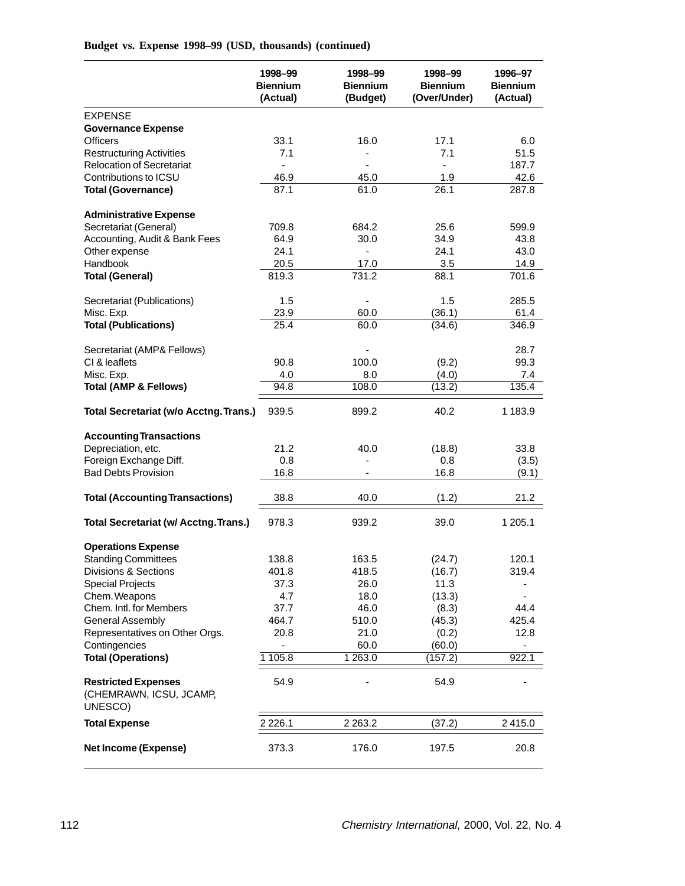| Budget vs. Expense 1998-99 (USD, thousands) (continued) |  |  |  |  |
|---------------------------------------------------------|--|--|--|--|
|---------------------------------------------------------|--|--|--|--|

|                                                                  | 1998-99<br><b>Biennium</b><br>(Actual) | 1998-99<br><b>Biennium</b><br>(Budget) | 1998-99<br><b>Biennium</b><br>(Over/Under) | 1996-97<br><b>Biennium</b><br>(Actual) |
|------------------------------------------------------------------|----------------------------------------|----------------------------------------|--------------------------------------------|----------------------------------------|
| <b>EXPENSE</b>                                                   |                                        |                                        |                                            |                                        |
| <b>Governance Expense</b>                                        |                                        |                                        |                                            |                                        |
| <b>Officers</b>                                                  | 33.1                                   | 16.0                                   | 17.1                                       | 6.0                                    |
| <b>Restructuring Activities</b>                                  | 7.1                                    | $\overline{\phantom{a}}$               | 7.1                                        | 51.5                                   |
| <b>Relocation of Secretariat</b>                                 | $\overline{\phantom{a}}$               |                                        |                                            | 187.7                                  |
| Contributions to ICSU                                            | 46.9                                   | 45.0                                   | 1.9                                        | 42.6                                   |
| <b>Total (Governance)</b>                                        | 87.1                                   | 61.0                                   | 26.1                                       | 287.8                                  |
| <b>Administrative Expense</b>                                    |                                        |                                        |                                            |                                        |
| Secretariat (General)                                            | 709.8                                  | 684.2                                  | 25.6                                       | 599.9                                  |
| Accounting, Audit & Bank Fees                                    | 64.9                                   | 30.0                                   | 34.9                                       | 43.8                                   |
| Other expense                                                    | 24.1                                   |                                        | 24.1                                       | 43.0                                   |
| Handbook                                                         | 20.5                                   | 17.0                                   | 3.5                                        | 14.9                                   |
| <b>Total (General)</b>                                           | 819.3                                  | 731.2                                  | 88.1                                       | 701.6                                  |
| Secretariat (Publications)                                       | 1.5                                    |                                        | 1.5                                        | 285.5                                  |
| Misc. Exp.                                                       | 23.9                                   | 60.0                                   | (36.1)                                     | 61.4                                   |
| <b>Total (Publications)</b>                                      | 25.4                                   | 60.0                                   | (34.6)                                     | 346.9                                  |
| Secretariat (AMP& Fellows)                                       |                                        |                                        |                                            | 28.7                                   |
| CI & leaflets                                                    | 90.8                                   | 100.0                                  | (9.2)                                      | 99.3                                   |
| Misc. Exp.                                                       | 4.0                                    | 8.0                                    | (4.0)                                      | 7.4                                    |
| <b>Total (AMP &amp; Fellows)</b>                                 | 94.8                                   | 108.0                                  | (13.2)                                     | 135.4                                  |
| <b>Total Secretariat (w/o Acctng. Trans.)</b>                    | 939.5                                  | 899.2                                  | 40.2                                       | 1183.9                                 |
| <b>Accounting Transactions</b>                                   |                                        |                                        |                                            |                                        |
| Depreciation, etc.                                               | 21.2                                   | 40.0                                   | (18.8)                                     | 33.8                                   |
| Foreign Exchange Diff.                                           | 0.8                                    |                                        | 0.8                                        | (3.5)                                  |
| <b>Bad Debts Provision</b>                                       | 16.8                                   |                                        | 16.8                                       | (9.1)                                  |
| <b>Total (Accounting Transactions)</b>                           | 38.8                                   | 40.0                                   | (1.2)                                      | 21.2                                   |
| <b>Total Secretariat (w/ Acctng. Trans.)</b>                     | 978.3                                  | 939.2                                  | 39.0                                       | 1 205.1                                |
| <b>Operations Expense</b>                                        |                                        |                                        |                                            |                                        |
| <b>Standing Committees</b>                                       | 138.8                                  | 163.5                                  | (24.7)                                     | 120.1                                  |
| Divisions & Sections                                             | 401.8                                  | 418.5                                  | (16.7)                                     | 319.4                                  |
| <b>Special Projects</b>                                          | 37.3                                   | 26.0                                   | 11.3                                       |                                        |
| Chem. Weapons                                                    | 4.7                                    | 18.0                                   | (13.3)                                     |                                        |
| Chem. Intl. for Members                                          | 37.7                                   | 46.0                                   | (8.3)                                      | 44.4                                   |
| <b>General Assembly</b>                                          | 464.7                                  | 510.0                                  | (45.3)                                     | 425.4                                  |
| Representatives on Other Orgs.                                   | 20.8                                   | 21.0                                   | (0.2)                                      | 12.8                                   |
| Contingencies                                                    |                                        | 60.0                                   | (60.0)                                     |                                        |
| <b>Total (Operations)</b>                                        | 1 105.8                                | 1 263.0                                | (157.2)                                    | 922.1                                  |
| <b>Restricted Expenses</b><br>(CHEMRAWN, ICSU, JCAMP,<br>UNESCO) | 54.9                                   |                                        | 54.9                                       |                                        |
| <b>Total Expense</b>                                             | 2 2 2 6.1                              | 2 2 6 3 . 2                            | (37.2)                                     | 2415.0                                 |
| <b>Net Income (Expense)</b>                                      | 373.3                                  | 176.0                                  | 197.5                                      | 20.8                                   |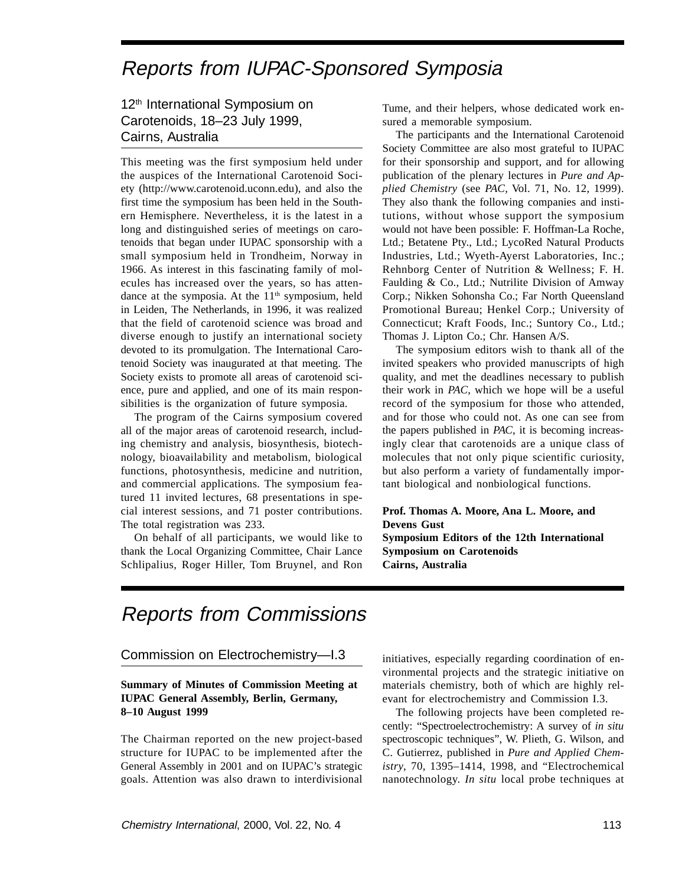# Reports from IUPAC-Sponsored Symposia

12<sup>th</sup> International Symposium on Carotenoids, 18–23 July 1999, Cairns, Australia

This meeting was the first symposium held under the auspices of the International Carotenoid Society (http://www.carotenoid.uconn.edu), and also the first time the symposium has been held in the Southern Hemisphere. Nevertheless, it is the latest in a long and distinguished series of meetings on carotenoids that began under IUPAC sponsorship with a small symposium held in Trondheim, Norway in 1966. As interest in this fascinating family of molecules has increased over the years, so has attendance at the symposia. At the  $11<sup>th</sup>$  symposium, held in Leiden, The Netherlands, in 1996, it was realized that the field of carotenoid science was broad and diverse enough to justify an international society devoted to its promulgation. The International Carotenoid Society was inaugurated at that meeting. The Society exists to promote all areas of carotenoid science, pure and applied, and one of its main responsibilities is the organization of future symposia.

The program of the Cairns symposium covered all of the major areas of carotenoid research, including chemistry and analysis, biosynthesis, biotechnology, bioavailability and metabolism, biological functions, photosynthesis, medicine and nutrition, and commercial applications. The symposium featured 11 invited lectures, 68 presentations in special interest sessions, and 71 poster contributions. The total registration was 233.

On behalf of all participants, we would like to thank the Local Organizing Committee, Chair Lance Schlipalius, Roger Hiller, Tom Bruynel, and Ron Tume, and their helpers, whose dedicated work ensured a memorable symposium.

The participants and the International Carotenoid Society Committee are also most grateful to IUPAC for their sponsorship and support, and for allowing publication of the plenary lectures in *Pure and Applied Chemistry* (see *PAC*, Vol. 71, No. 12, 1999)*.* They also thank the following companies and institutions, without whose support the symposium would not have been possible: F. Hoffman-La Roche, Ltd.; Betatene Pty., Ltd.; LycoRed Natural Products Industries, Ltd.; Wyeth-Ayerst Laboratories, Inc.; Rehnborg Center of Nutrition & Wellness; F. H. Faulding & Co., Ltd.; Nutrilite Division of Amway Corp.; Nikken Sohonsha Co.; Far North Queensland Promotional Bureau; Henkel Corp.; University of Connecticut; Kraft Foods, Inc.; Suntory Co., Ltd.; Thomas J. Lipton Co.; Chr. Hansen A/S.

The symposium editors wish to thank all of the invited speakers who provided manuscripts of high quality, and met the deadlines necessary to publish their work in *PAC*, which we hope will be a useful record of the symposium for those who attended, and for those who could not. As one can see from the papers published in *PAC*, it is becoming increasingly clear that carotenoids are a unique class of molecules that not only pique scientific curiosity, but also perform a variety of fundamentally important biological and nonbiological functions.

## **Prof. Thomas A. Moore, Ana L. Moore, and Devens Gust**

**Symposium Editors of the 12th International Symposium on Carotenoids Cairns, Australia**

## Reports from Commissions

## Commission on Electrochemistry—I.3

## **Summary of Minutes of Commission Meeting at IUPAC General Assembly, Berlin, Germany, 8–10 August 1999**

The Chairman reported on the new project-based structure for IUPAC to be implemented after the General Assembly in 2001 and on IUPAC's strategic goals. Attention was also drawn to interdivisional initiatives, especially regarding coordination of environmental projects and the strategic initiative on materials chemistry, both of which are highly relevant for electrochemistry and Commission I.3.

The following projects have been completed recently: "Spectroelectrochemistry: A survey of *in situ* spectroscopic techniques", W. Plieth, G. Wilson, and C. Gutierrez, published in *Pure and Applied Chemistry*, 70, 1395–1414, 1998, and "Electrochemical nanotechnology. *In situ* local probe techniques at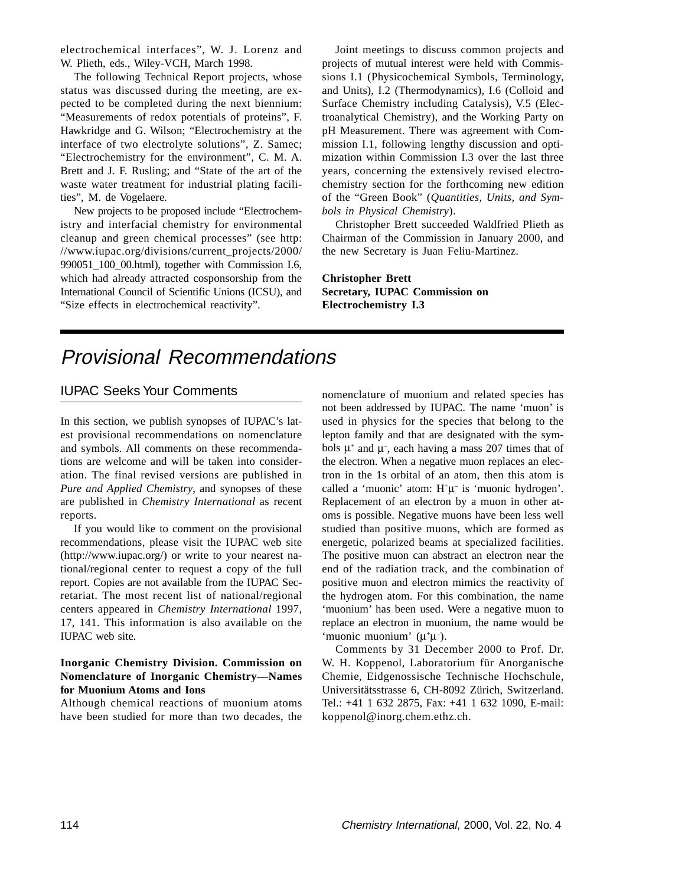electrochemical interfaces", W. J. Lorenz and W. Plieth, eds., Wiley-VCH, March 1998.

The following Technical Report projects, whose status was discussed during the meeting, are expected to be completed during the next biennium: "Measurements of redox potentials of proteins", F. Hawkridge and G. Wilson; "Electrochemistry at the interface of two electrolyte solutions", Z. Samec; "Electrochemistry for the environment", C. M. A. Brett and J. F. Rusling; and "State of the art of the waste water treatment for industrial plating facilities", M. de Vogelaere.

New projects to be proposed include "Electrochemistry and interfacial chemistry for environmental cleanup and green chemical processes" (see http: //www.iupac.org/divisions/current\_projects/2000/ 990051\_100\_00.html), together with Commission I.6, which had already attracted cosponsorship from the International Council of Scientific Unions (ICSU), and "Size effects in electrochemical reactivity".

Joint meetings to discuss common projects and projects of mutual interest were held with Commissions I.1 (Physicochemical Symbols, Terminology, and Units), I.2 (Thermodynamics), I.6 (Colloid and Surface Chemistry including Catalysis), V.5 (Electroanalytical Chemistry), and the Working Party on pH Measurement. There was agreement with Commission I.1, following lengthy discussion and optimization within Commission I.3 over the last three years, concerning the extensively revised electrochemistry section for the forthcoming new edition of the "Green Book" (*Quantities, Units, and Symbols in Physical Chemistry*).

Christopher Brett succeeded Waldfried Plieth as Chairman of the Commission in January 2000, and the new Secretary is Juan Feliu-Martinez.

**Christopher Brett Secretary, IUPAC Commission on Electrochemistry I.3**

## Provisional Recommendations

## IUPAC Seeks Your Comments

In this section, we publish synopses of IUPAC's latest provisional recommendations on nomenclature and symbols. All comments on these recommendations are welcome and will be taken into consideration. The final revised versions are published in *Pure and Applied Chemistry*, and synopses of these are published in *Chemistry International* as recent reports.

If you would like to comment on the provisional recommendations, please visit the IUPAC web site (http://www.iupac.org/) or write to your nearest national/regional center to request a copy of the full report. Copies are not available from the IUPAC Secretariat. The most recent list of national/regional centers appeared in *Chemistry International* 1997, 17, 141. This information is also available on the IUPAC web site.

## **Inorganic Chemistry Division. Commission on Nomenclature of Inorganic Chemistry—Names for Muonium Atoms and Ions**

Although chemical reactions of muonium atoms have been studied for more than two decades, the

nomenclature of muonium and related species has not been addressed by IUPAC. The name 'muon' is used in physics for the species that belong to the lepton family and that are designated with the symbols  $\mu^+$  and  $\mu^-$ , each having a mass 207 times that of the electron. When a negative muon replaces an electron in the 1s orbital of an atom, then this atom is called a 'muonic' atom:  $H^{\dagger} \mu^{-}$  is 'muonic hydrogen'. Replacement of an electron by a muon in other atoms is possible. Negative muons have been less well studied than positive muons, which are formed as energetic, polarized beams at specialized facilities. The positive muon can abstract an electron near the end of the radiation track, and the combination of positive muon and electron mimics the reactivity of the hydrogen atom. For this combination, the name 'muonium' has been used. Were a negative muon to replace an electron in muonium, the name would be 'muonic muonium'  $(\mu^+\mu^-)$ .

Comments by 31 December 2000 to Prof. Dr. W. H. Koppenol, Laboratorium für Anorganische Chemie, Eidgenossische Technische Hochschule, Universitätsstrasse 6, CH-8092 Zürich, Switzerland. Tel.: +41 1 632 2875, Fax: +41 1 632 1090, E-mail: koppenol@inorg.chem.ethz.ch.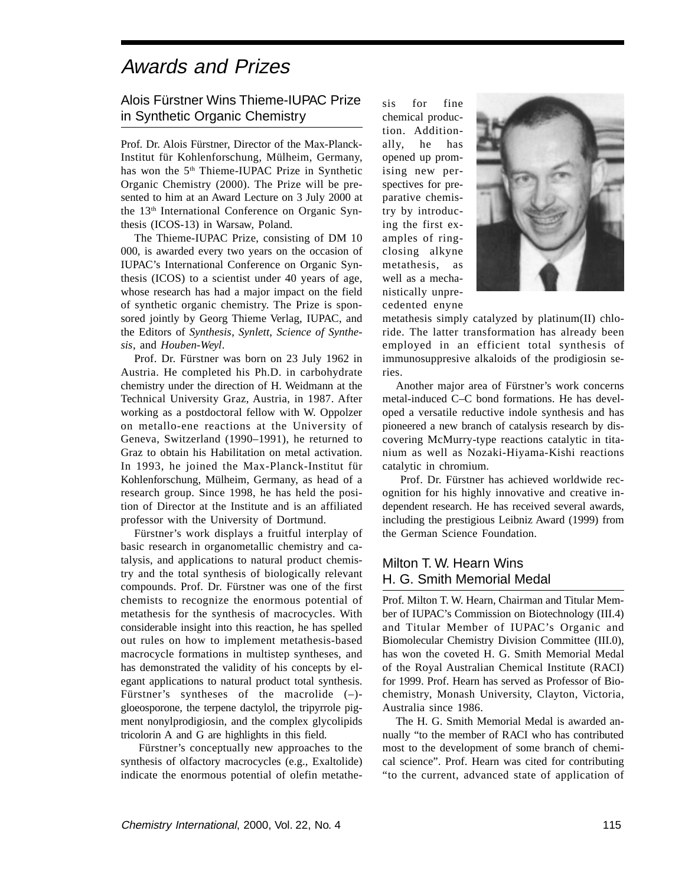## Awards and Prizes

## Alois Fürstner Wins Thieme-IUPAC Prize in Synthetic Organic Chemistry

Prof. Dr. Alois Fürstner, Director of the Max-Planck-Institut für Kohlenforschung, Mülheim, Germany, has won the 5<sup>th</sup> Thieme-IUPAC Prize in Synthetic Organic Chemistry (2000). The Prize will be presented to him at an Award Lecture on 3 July 2000 at the 13th International Conference on Organic Synthesis (ICOS-13) in Warsaw, Poland.

The Thieme-IUPAC Prize, consisting of DM 10 000, is awarded every two years on the occasion of IUPAC's International Conference on Organic Synthesis (ICOS) to a scientist under 40 years of age, whose research has had a major impact on the field of synthetic organic chemistry. The Prize is sponsored jointly by Georg Thieme Verlag, IUPAC, and the Editors of *Synthesis*, *Synlett*, *Science of Synthesis*, and *Houben-Weyl*.

Prof. Dr. Fürstner was born on 23 July 1962 in Austria. He completed his Ph.D. in carbohydrate chemistry under the direction of H. Weidmann at the Technical University Graz, Austria, in 1987. After working as a postdoctoral fellow with W. Oppolzer on metallo-ene reactions at the University of Geneva, Switzerland (1990–1991), he returned to Graz to obtain his Habilitation on metal activation. In 1993, he joined the Max-Planck-Institut für Kohlenforschung, Mülheim, Germany, as head of a research group. Since 1998, he has held the position of Director at the Institute and is an affiliated professor with the University of Dortmund.

Fürstner's work displays a fruitful interplay of basic research in organometallic chemistry and catalysis, and applications to natural product chemistry and the total synthesis of biologically relevant compounds. Prof. Dr. Fürstner was one of the first chemists to recognize the enormous potential of metathesis for the synthesis of macrocycles. With considerable insight into this reaction, he has spelled out rules on how to implement metathesis-based macrocycle formations in multistep syntheses, and has demonstrated the validity of his concepts by elegant applications to natural product total synthesis. Fürstner's syntheses of the macrolide (–) gloeosporone, the terpene dactylol, the tripyrrole pigment nonylprodigiosin, and the complex glycolipids tricolorin A and G are highlights in this field.

 Fürstner's conceptually new approaches to the synthesis of olfactory macrocycles (e.g., Exaltolide) indicate the enormous potential of olefin metathe-

sis for fine chemical production. Additionally, he has opened up promising new perspectives for preparative chemistry by introducing the first examples of ringclosing alkyne metathesis, as well as a mechanistically unprecedented enyne



metathesis simply catalyzed by platinum(II) chloride. The latter transformation has already been employed in an efficient total synthesis of immunosuppresive alkaloids of the prodigiosin series.

Another major area of Fürstner's work concerns metal-induced C–C bond formations. He has developed a versatile reductive indole synthesis and has pioneered a new branch of catalysis research by discovering McMurry-type reactions catalytic in titanium as well as Nozaki-Hiyama-Kishi reactions catalytic in chromium.

 Prof. Dr. Fürstner has achieved worldwide recognition for his highly innovative and creative independent research. He has received several awards, including the prestigious Leibniz Award (1999) from the German Science Foundation.

## Milton T. W. Hearn Wins H. G. Smith Memorial Medal

Prof. Milton T. W. Hearn, Chairman and Titular Member of IUPAC's Commission on Biotechnology (III.4) and Titular Member of IUPAC's Organic and Biomolecular Chemistry Division Committee (III.0), has won the coveted H. G. Smith Memorial Medal of the Royal Australian Chemical Institute (RACI) for 1999. Prof. Hearn has served as Professor of Biochemistry, Monash University, Clayton, Victoria, Australia since 1986.

The H. G. Smith Memorial Medal is awarded annually "to the member of RACI who has contributed most to the development of some branch of chemical science". Prof. Hearn was cited for contributing "to the current, advanced state of application of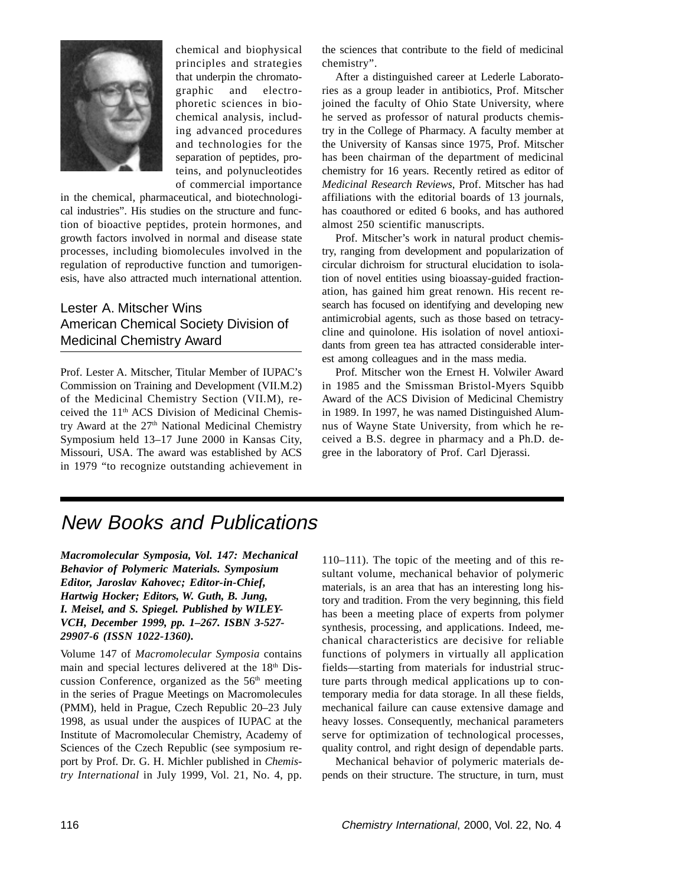

chemical and biophysical principles and strategies that underpin the chromatographic and electrophoretic sciences in biochemical analysis, including advanced procedures and technologies for the separation of peptides, proteins, and polynucleotides of commercial importance

in the chemical, pharmaceutical, and biotechnological industries". His studies on the structure and function of bioactive peptides, protein hormones, and growth factors involved in normal and disease state processes, including biomolecules involved in the regulation of reproductive function and tumorigenesis, have also attracted much international attention.

## Lester A. Mitscher Wins American Chemical Society Division of Medicinal Chemistry Award

Prof. Lester A. Mitscher, Titular Member of IUPAC's Commission on Training and Development (VII.M.2) of the Medicinal Chemistry Section (VII.M), received the 11th ACS Division of Medicinal Chemistry Award at the 27<sup>th</sup> National Medicinal Chemistry Symposium held 13–17 June 2000 in Kansas City, Missouri, USA. The award was established by ACS in 1979 "to recognize outstanding achievement in the sciences that contribute to the field of medicinal chemistry".

After a distinguished career at Lederle Laboratories as a group leader in antibiotics, Prof. Mitscher joined the faculty of Ohio State University, where he served as professor of natural products chemistry in the College of Pharmacy. A faculty member at the University of Kansas since 1975, Prof. Mitscher has been chairman of the department of medicinal chemistry for 16 years. Recently retired as editor of *Medicinal Research Reviews*, Prof. Mitscher has had affiliations with the editorial boards of 13 journals, has coauthored or edited 6 books, and has authored almost 250 scientific manuscripts.

Prof. Mitscher's work in natural product chemistry, ranging from development and popularization of circular dichroism for structural elucidation to isolation of novel entities using bioassay-guided fractionation, has gained him great renown. His recent research has focused on identifying and developing new antimicrobial agents, such as those based on tetracycline and quinolone. His isolation of novel antioxidants from green tea has attracted considerable interest among colleagues and in the mass media.

Prof. Mitscher won the Ernest H. Volwiler Award in 1985 and the Smissman Bristol-Myers Squibb Award of the ACS Division of Medicinal Chemistry in 1989. In 1997, he was named Distinguished Alumnus of Wayne State University, from which he received a B.S. degree in pharmacy and a Ph.D. degree in the laboratory of Prof. Carl Djerassi.

## New Books and Publications

*Macromolecular Symposia, Vol. 147: Mechanical Behavior of Polymeric Materials. Symposium Editor, Jaroslav Kahovec; Editor-in-Chief, Hartwig Hocker; Editors, W. Guth, B. Jung, I. Meisel, and S. Spiegel. Published by WILEY-VCH, December 1999, pp. 1–267. ISBN 3-527- 29907-6 (ISSN 1022-1360).*

Volume 147 of *Macromolecular Symposia* contains main and special lectures delivered at the  $18<sup>th</sup>$  Discussion Conference, organized as the 56<sup>th</sup> meeting in the series of Prague Meetings on Macromolecules (PMM), held in Prague, Czech Republic 20–23 July 1998, as usual under the auspices of IUPAC at the Institute of Macromolecular Chemistry, Academy of Sciences of the Czech Republic (see symposium report by Prof. Dr. G. H. Michler published in *Chemistry International* in July 1999, Vol. 21, No. 4, pp.

110–111). The topic of the meeting and of this resultant volume, mechanical behavior of polymeric materials, is an area that has an interesting long history and tradition. From the very beginning, this field has been a meeting place of experts from polymer synthesis, processing, and applications. Indeed, mechanical characteristics are decisive for reliable functions of polymers in virtually all application fields—starting from materials for industrial structure parts through medical applications up to contemporary media for data storage. In all these fields, mechanical failure can cause extensive damage and heavy losses. Consequently, mechanical parameters serve for optimization of technological processes, quality control, and right design of dependable parts.

Mechanical behavior of polymeric materials depends on their structure. The structure, in turn, must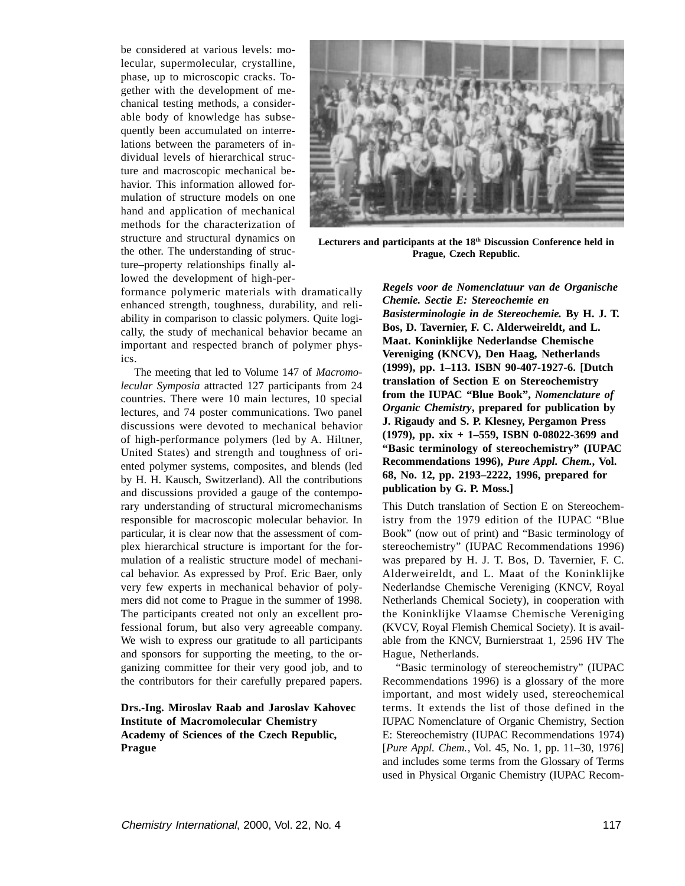be considered at various levels: molecular, supermolecular, crystalline, phase, up to microscopic cracks. Together with the development of mechanical testing methods, a considerable body of knowledge has subsequently been accumulated on interrelations between the parameters of individual levels of hierarchical structure and macroscopic mechanical behavior. This information allowed formulation of structure models on one hand and application of mechanical methods for the characterization of structure and structural dynamics on the other. The understanding of structure–property relationships finally allowed the development of high-per-



**Lecturers and participants at the 18th Discussion Conference held in Prague, Czech Republic.**

formance polymeric materials with dramatically enhanced strength, toughness, durability, and reliability in comparison to classic polymers. Quite logically, the study of mechanical behavior became an important and respected branch of polymer physics.

The meeting that led to Volume 147 of *Macromolecular Symposia* attracted 127 participants from 24 countries. There were 10 main lectures, 10 special lectures, and 74 poster communications. Two panel discussions were devoted to mechanical behavior of high-performance polymers (led by A. Hiltner, United States) and strength and toughness of oriented polymer systems, composites, and blends (led by H. H. Kausch, Switzerland). All the contributions and discussions provided a gauge of the contemporary understanding of structural micromechanisms responsible for macroscopic molecular behavior. In particular, it is clear now that the assessment of complex hierarchical structure is important for the formulation of a realistic structure model of mechanical behavior. As expressed by Prof. Eric Baer, only very few experts in mechanical behavior of polymers did not come to Prague in the summer of 1998. The participants created not only an excellent professional forum, but also very agreeable company. We wish to express our gratitude to all participants and sponsors for supporting the meeting, to the organizing committee for their very good job, and to the contributors for their carefully prepared papers.

**Drs.-Ing. Miroslav Raab and Jaroslav Kahovec Institute of Macromolecular Chemistry Academy of Sciences of the Czech Republic, Prague**

*Regels voor de Nomenclatuur van de Organische Chemie. Sectie E: Stereochemie en Basisterminologie in de Stereochemie.* **By H. J. T. Bos, D. Tavernier, F. C. Alderweireldt, and L. Maat. Koninklijke Nederlandse Chemische Vereniging (KNCV), Den Haag, Netherlands (1999), pp. 1–113. ISBN 90-407-1927-6. [Dutch translation of Section E on Stereochemistry from the IUPAC "Blue Book",** *Nomenclature of Organic Chemistry***, prepared for publication by J. Rigaudy and S. P. Klesney, Pergamon Press (1979), pp. xix + 1–559, ISBN 0-08022-3699 and "Basic terminology of stereochemistry" (IUPAC Recommendations 1996),** *Pure Appl. Chem.***, Vol. 68, No. 12, pp. 2193–2222, 1996, prepared for publication by G. P. Moss.]**

This Dutch translation of Section E on Stereochemistry from the 1979 edition of the IUPAC "Blue Book" (now out of print) and "Basic terminology of stereochemistry" (IUPAC Recommendations 1996) was prepared by H. J. T. Bos, D. Tavernier, F. C. Alderweireldt, and L. Maat of the Koninklijke Nederlandse Chemische Vereniging (KNCV, Royal Netherlands Chemical Society), in cooperation with the Koninklijke Vlaamse Chemische Vereniging (KVCV, Royal Flemish Chemical Society). It is available from the KNCV, Burnierstraat 1, 2596 HV The Hague, Netherlands.

"Basic terminology of stereochemistry" (IUPAC Recommendations 1996) is a glossary of the more important, and most widely used, stereochemical terms. It extends the list of those defined in the IUPAC Nomenclature of Organic Chemistry, Section E: Stereochemistry (IUPAC Recommendations 1974) [*Pure Appl. Chem.*, Vol. 45, No. 1, pp. 11–30, 1976] and includes some terms from the Glossary of Terms used in Physical Organic Chemistry (IUPAC Recom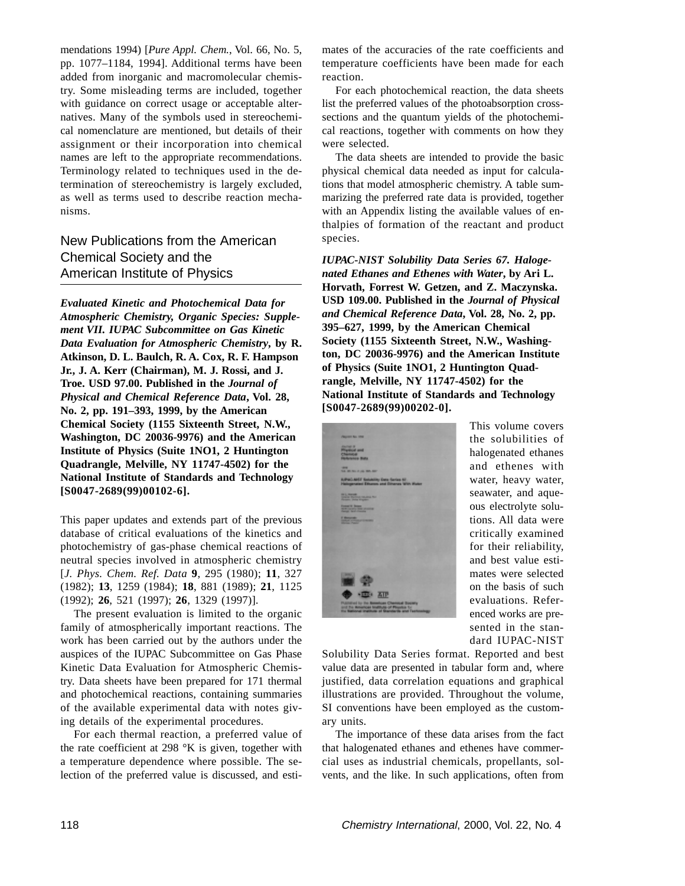mendations 1994) [*Pure Appl. Chem.*, Vol. 66, No. 5, pp. 1077–1184, 1994]. Additional terms have been added from inorganic and macromolecular chemistry. Some misleading terms are included, together with guidance on correct usage or acceptable alternatives. Many of the symbols used in stereochemical nomenclature are mentioned, but details of their assignment or their incorporation into chemical names are left to the appropriate recommendations. Terminology related to techniques used in the determination of stereochemistry is largely excluded, as well as terms used to describe reaction mechanisms.

## New Publications from the American Chemical Society and the American Institute of Physics

*Evaluated Kinetic and Photochemical Data for Atmospheric Chemistry, Organic Species: Supplement VII. IUPAC Subcommittee on Gas Kinetic Data Evaluation for Atmospheric Chemistry***, by R. Atkinson, D. L. Baulch, R. A. Cox, R. F. Hampson Jr., J. A. Kerr (Chairman), M. J. Rossi, and J. Troe. USD 97.00. Published in the** *Journal of Physical and Chemical Reference Data***, Vol. 28, No. 2, pp. 191–393, 1999, by the American Chemical Society (1155 Sixteenth Street, N.W., Washington, DC 20036-9976) and the American Institute of Physics (Suite 1NO1, 2 Huntington Quadrangle, Melville, NY 11747-4502) for the National Institute of Standards and Technology [S0047-2689(99)00102-6].**

This paper updates and extends part of the previous database of critical evaluations of the kinetics and photochemistry of gas-phase chemical reactions of neutral species involved in atmospheric chemistry [*J. Phys. Chem. Ref. Data* **9**, 295 (1980); **11**, 327 (1982); **13**, 1259 (1984); **18**, 881 (1989); **21**, 1125 (1992); **26**, 521 (1997); **26**, 1329 (1997)].

The present evaluation is limited to the organic family of atmospherically important reactions. The work has been carried out by the authors under the auspices of the IUPAC Subcommittee on Gas Phase Kinetic Data Evaluation for Atmospheric Chemistry. Data sheets have been prepared for 171 thermal and photochemical reactions, containing summaries of the available experimental data with notes giving details of the experimental procedures.

For each thermal reaction, a preferred value of the rate coefficient at 298 °K is given, together with a temperature dependence where possible. The selection of the preferred value is discussed, and estimates of the accuracies of the rate coefficients and temperature coefficients have been made for each reaction.

For each photochemical reaction, the data sheets list the preferred values of the photoabsorption crosssections and the quantum yields of the photochemical reactions, together with comments on how they were selected.

The data sheets are intended to provide the basic physical chemical data needed as input for calculations that model atmospheric chemistry. A table summarizing the preferred rate data is provided, together with an Appendix listing the available values of enthalpies of formation of the reactant and product species.

*IUPAC-NIST Solubility Data Series 67. Halogenated Ethanes and Ethenes with Water***, by Ari L. Horvath, Forrest W. Getzen, and Z. Maczynska. USD 109.00. Published in the** *Journal of Physical and Chemical Reference Data***, Vol. 28, No. 2, pp. 395–627, 1999, by the American Chemical Society (1155 Sixteenth Street, N.W., Washington, DC 20036-9976) and the American Institute of Physics (Suite 1NO1, 2 Huntington Quadrangle, Melville, NY 11747-4502) for the National Institute of Standards and Technology [S0047-2689(99)00202-0].**



This volume covers the solubilities of halogenated ethanes and ethenes with water, heavy water, seawater, and aqueous electrolyte solutions. All data were critically examined for their reliability, and best value estimates were selected on the basis of such evaluations. Referenced works are presented in the standard IUPAC-NIST

Solubility Data Series format. Reported and best value data are presented in tabular form and, where justified, data correlation equations and graphical illustrations are provided. Throughout the volume, SI conventions have been employed as the customary units.

The importance of these data arises from the fact that halogenated ethanes and ethenes have commercial uses as industrial chemicals, propellants, solvents, and the like. In such applications, often from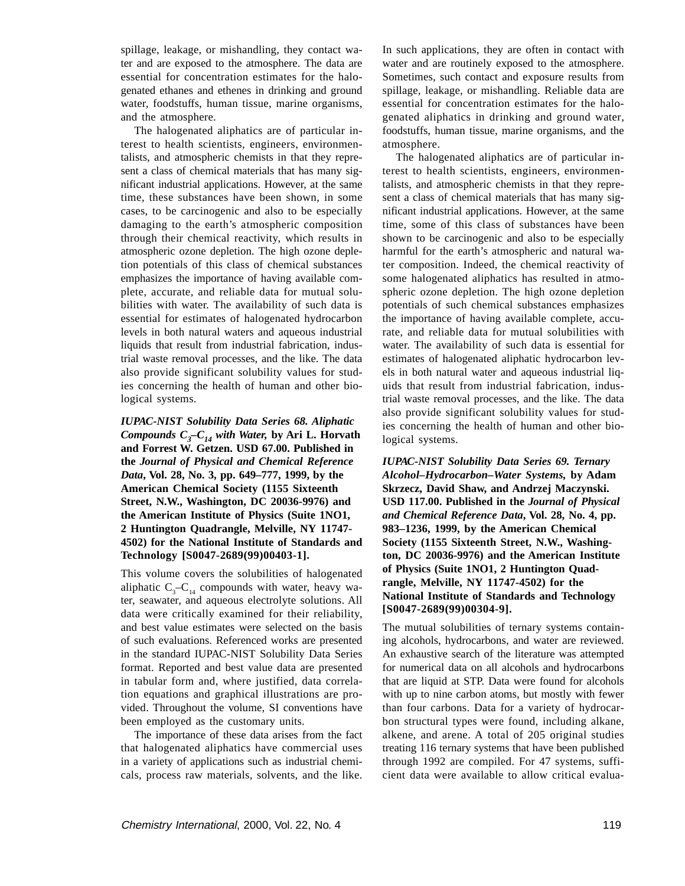spillage, leakage, or mishandling, they contact water and are exposed to the atmosphere. The data are essential for concentration estimates for the halogenated ethanes and ethenes in drinking and ground water, foodstuffs, human tissue, marine organisms, and the atmosphere.

The halogenated aliphatics are of particular interest to health scientists, engineers, environmentalists, and atmospheric chemists in that they represent a class of chemical materials that has many significant industrial applications. However, at the same time, these substances have been shown, in some cases, to be carcinogenic and also to be especially damaging to the earth's atmospheric composition through their chemical reactivity, which results in atmospheric ozone depletion. The high ozone depletion potentials of this class of chemical substances emphasizes the importance of having available complete, accurate, and reliable data for mutual solubilities with water. The availability of such data is essential for estimates of halogenated hydrocarbon levels in both natural waters and aqueous industrial liquids that result from industrial fabrication, industrial waste removal processes, and the like. The data also provide significant solubility values for studies concerning the health of human and other biological systems.

*IUPAC-NIST Solubility Data Series 68. Aliphatic Compounds*  $C_3-C_{14}$  *with Water, by Ari L. Horvath* **and Forrest W. Getzen. USD 67.00. Published in the** *Journal of Physical and Chemical Reference Data***, Vol. 28, No. 3, pp. 649–777, 1999, by the American Chemical Society (1155 Sixteenth Street, N.W., Washington, DC 20036-9976) and the American Institute of Physics (Suite 1NO1, 2 Huntington Quadrangle, Melville, NY 11747- 4502) for the National Institute of Standards and Technology [S0047-2689(99)00403-1].**

This volume covers the solubilities of halogenated aliphatic  $C_3 - C_{14}$  compounds with water, heavy water, seawater, and aqueous electrolyte solutions. All data were critically examined for their reliability, and best value estimates were selected on the basis of such evaluations. Referenced works are presented in the standard IUPAC-NIST Solubility Data Series format. Reported and best value data are presented in tabular form and, where justified, data correlation equations and graphical illustrations are provided. Throughout the volume, SI conventions have been employed as the customary units.

The importance of these data arises from the fact that halogenated aliphatics have commercial uses in a variety of applications such as industrial chemicals, process raw materials, solvents, and the like.

In such applications, they are often in contact with water and are routinely exposed to the atmosphere. Sometimes, such contact and exposure results from spillage, leakage, or mishandling. Reliable data are essential for concentration estimates for the halogenated aliphatics in drinking and ground water, foodstuffs, human tissue, marine organisms, and the atmosphere.

The halogenated aliphatics are of particular interest to health scientists, engineers, environmentalists, and atmospheric chemists in that they represent a class of chemical materials that has many significant industrial applications. However, at the same time, some of this class of substances have been shown to be carcinogenic and also to be especially harmful for the earth's atmospheric and natural water composition. Indeed, the chemical reactivity of some halogenated aliphatics has resulted in atmospheric ozone depletion. The high ozone depletion potentials of such chemical substances emphasizes the importance of having available complete, accurate, and reliable data for mutual solubilities with water. The availability of such data is essential for estimates of halogenated aliphatic hydrocarbon levels in both natural water and aqueous industrial liquids that result from industrial fabrication, industrial waste removal processes, and the like. The data also provide significant solubility values for studies concerning the health of human and other biological systems.

*IUPAC-NIST Solubility Data Series 69. Ternary Alcohol–Hydrocarbon–Water Systems,* **by Adam Skrzecz, David Shaw, and Andrzej Maczynski. USD 117.00. Published in the** *Journal of Physical and Chemical Reference Data***, Vol. 28, No. 4, pp. 983–1236, 1999, by the American Chemical Society (1155 Sixteenth Street, N.W., Washington, DC 20036-9976) and the American Institute of Physics (Suite 1NO1, 2 Huntington Quadrangle, Melville, NY 11747-4502) for the National Institute of Standards and Technology [S0047-2689(99)00304-9].**

The mutual solubilities of ternary systems containing alcohols, hydrocarbons, and water are reviewed. An exhaustive search of the literature was attempted for numerical data on all alcohols and hydrocarbons that are liquid at STP. Data were found for alcohols with up to nine carbon atoms, but mostly with fewer than four carbons. Data for a variety of hydrocarbon structural types were found, including alkane, alkene, and arene. A total of 205 original studies treating 116 ternary systems that have been published through 1992 are compiled. For 47 systems, sufficient data were available to allow critical evalua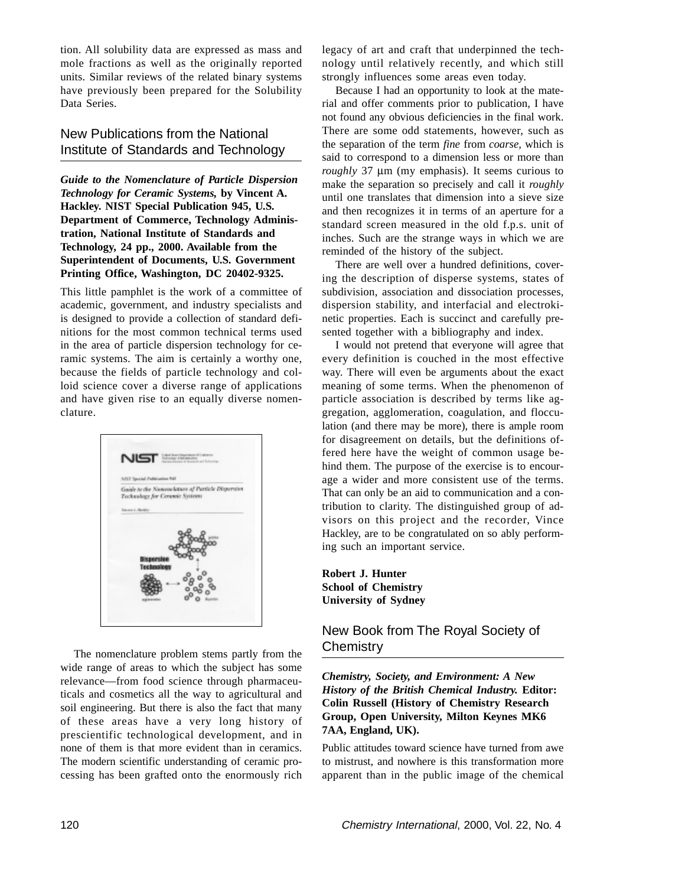tion. All solubility data are expressed as mass and mole fractions as well as the originally reported units. Similar reviews of the related binary systems have previously been prepared for the Solubility Data Series.

## New Publications from the National Institute of Standards and Technology

*Guide to the Nomenclature of Particle Dispersion Technology for Ceramic Systems,* **by Vincent A. Hackley. NIST Special Publication 945, U.S. Department of Commerce, Technology Administration, National Institute of Standards and Technology, 24 pp., 2000. Available from the Superintendent of Documents, U.S. Government Printing Office, Washington, DC 20402-9325.**

This little pamphlet is the work of a committee of academic, government, and industry specialists and is designed to provide a collection of standard definitions for the most common technical terms used in the area of particle dispersion technology for ceramic systems. The aim is certainly a worthy one, because the fields of particle technology and colloid science cover a diverse range of applications and have given rise to an equally diverse nomenclature.



The nomenclature problem stems partly from the wide range of areas to which the subject has some relevance—from food science through pharmaceuticals and cosmetics all the way to agricultural and soil engineering. But there is also the fact that many of these areas have a very long history of prescientific technological development, and in none of them is that more evident than in ceramics. The modern scientific understanding of ceramic processing has been grafted onto the enormously rich

legacy of art and craft that underpinned the technology until relatively recently, and which still strongly influences some areas even today.

Because I had an opportunity to look at the material and offer comments prior to publication, I have not found any obvious deficiencies in the final work. There are some odd statements, however, such as the separation of the term *fine* from *coarse,* which is said to correspond to a dimension less or more than *roughly* 37  $\mu$ m (my emphasis). It seems curious to make the separation so precisely and call it *roughly* until one translates that dimension into a sieve size and then recognizes it in terms of an aperture for a standard screen measured in the old f.p.s. unit of inches. Such are the strange ways in which we are reminded of the history of the subject.

There are well over a hundred definitions, covering the description of disperse systems, states of subdivision, association and dissociation processes, dispersion stability, and interfacial and electrokinetic properties. Each is succinct and carefully presented together with a bibliography and index.

I would not pretend that everyone will agree that every definition is couched in the most effective way. There will even be arguments about the exact meaning of some terms. When the phenomenon of particle association is described by terms like aggregation, agglomeration, coagulation, and flocculation (and there may be more), there is ample room for disagreement on details, but the definitions offered here have the weight of common usage behind them. The purpose of the exercise is to encourage a wider and more consistent use of the terms. That can only be an aid to communication and a contribution to clarity. The distinguished group of advisors on this project and the recorder, Vince Hackley, are to be congratulated on so ably performing such an important service.

**Robert J. Hunter School of Chemistry University of Sydney**

## New Book from The Royal Society of **Chemistry**

*Chemistry, Society, and Environment: A New History of the British Chemical Industry.* **Editor: Colin Russell (History of Chemistry Research Group, Open University, Milton Keynes MK6 7AA, England, UK).**

Public attitudes toward science have turned from awe to mistrust, and nowhere is this transformation more apparent than in the public image of the chemical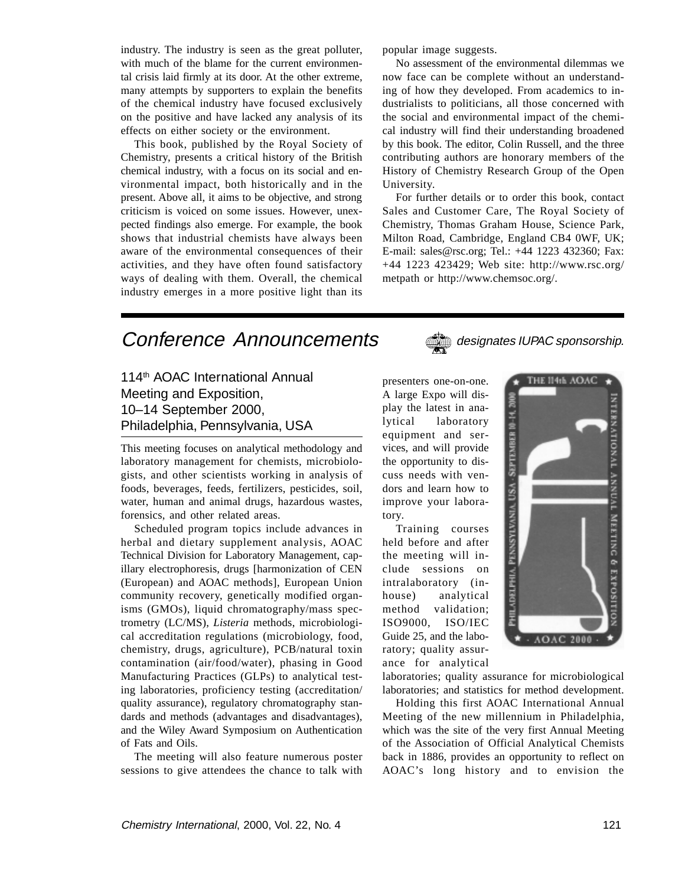industry. The industry is seen as the great polluter, with much of the blame for the current environmental crisis laid firmly at its door. At the other extreme, many attempts by supporters to explain the benefits of the chemical industry have focused exclusively on the positive and have lacked any analysis of its effects on either society or the environment.

This book, published by the Royal Society of Chemistry, presents a critical history of the British chemical industry, with a focus on its social and environmental impact, both historically and in the present. Above all, it aims to be objective, and strong criticism is voiced on some issues. However, unexpected findings also emerge. For example, the book shows that industrial chemists have always been aware of the environmental consequences of their activities, and they have often found satisfactory ways of dealing with them. Overall, the chemical industry emerges in a more positive light than its popular image suggests.

No assessment of the environmental dilemmas we now face can be complete without an understanding of how they developed. From academics to industrialists to politicians, all those concerned with the social and environmental impact of the chemical industry will find their understanding broadened by this book. The editor, Colin Russell, and the three contributing authors are honorary members of the History of Chemistry Research Group of the Open University.

For further details or to order this book, contact Sales and Customer Care, The Royal Society of Chemistry, Thomas Graham House, Science Park, Milton Road, Cambridge, England CB4 0WF, UK; E-mail: sales@rsc.org; Tel.: +44 1223 432360; Fax: +44 1223 423429; Web site: http://www.rsc.org/ metpath or http://www.chemsoc.org/.

## Conference Announcements

114<sup>th</sup> AOAC International Annual Meeting and Exposition, 10–14 September 2000, Philadelphia, Pennsylvania, USA

This meeting focuses on analytical methodology and laboratory management for chemists, microbiologists, and other scientists working in analysis of foods, beverages, feeds, fertilizers, pesticides, soil, water, human and animal drugs, hazardous wastes, forensics, and other related areas.

Scheduled program topics include advances in herbal and dietary supplement analysis, AOAC Technical Division for Laboratory Management, capillary electrophoresis, drugs [harmonization of CEN (European) and AOAC methods], European Union community recovery, genetically modified organisms (GMOs), liquid chromatography/mass spectrometry (LC/MS), *Listeria* methods, microbiological accreditation regulations (microbiology, food, chemistry, drugs, agriculture), PCB/natural toxin contamination (air/food/water), phasing in Good Manufacturing Practices (GLPs) to analytical testing laboratories, proficiency testing (accreditation/ quality assurance), regulatory chromatography standards and methods (advantages and disadvantages), and the Wiley Award Symposium on Authentication of Fats and Oils.

The meeting will also feature numerous poster sessions to give attendees the chance to talk with



## designates IUPAC sponsorship.

presenters one-on-one. A large Expo will display the latest in analytical laboratory equipment and services, and will provide the opportunity to discuss needs with vendors and learn how to improve your laboratory.

Training courses held before and after the meeting will include sessions on intralaboratory (inhouse) analytical method validation; ISO9000, ISO/IEC Guide 25, and the laboratory; quality assurance for analytical



laboratories; quality assurance for microbiological laboratories; and statistics for method development.

Holding this first AOAC International Annual Meeting of the new millennium in Philadelphia, which was the site of the very first Annual Meeting of the Association of Official Analytical Chemists back in 1886, provides an opportunity to reflect on AOAC's long history and to envision the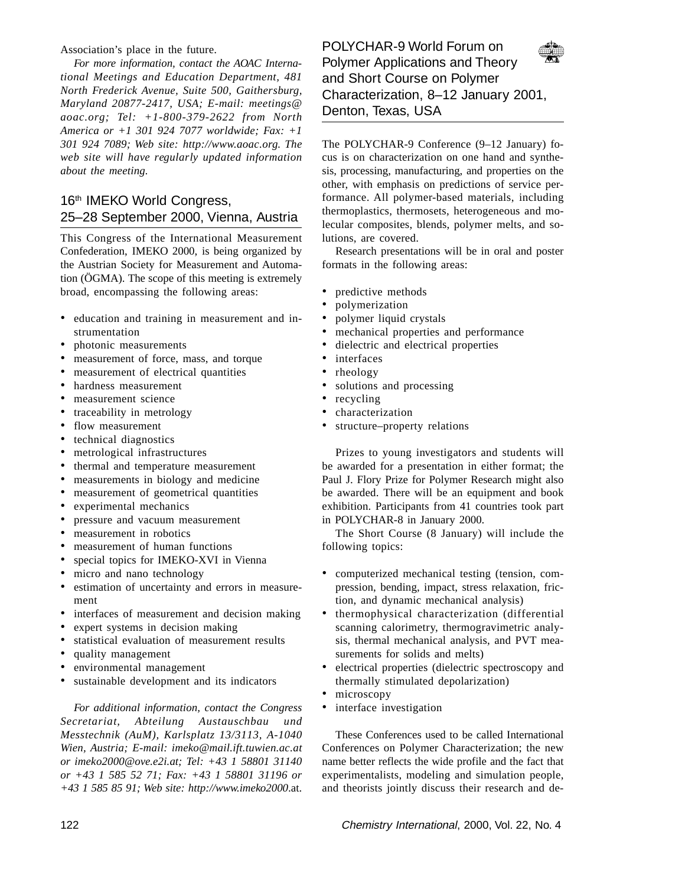Association's place in the future.

*For more information, contact the AOAC International Meetings and Education Department, 481 North Frederick Avenue, Suite 500, Gaithersburg, Maryland 20877-2417, USA; E-mail: meetings@ aoac.org; Tel: +1-800-379-2622 from North America or +1 301 924 7077 worldwide; Fax: +1 301 924 7089; Web site: http://www.aoac.org. The web site will have regularly updated information about the meeting.*

## 16<sup>th</sup> IMEKO World Congress, 25–28 September 2000, Vienna, Austria

This Congress of the International Measurement Confederation, IMEKO 2000, is being organized by the Austrian Society for Measurement and Automation (ÖGMA). The scope of this meeting is extremely broad, encompassing the following areas:

- education and training in measurement and instrumentation
- photonic measurements
- measurement of force, mass, and torque
- measurement of electrical quantities
- hardness measurement
- measurement science
- traceability in metrology
- flow measurement
- technical diagnostics
- metrological infrastructures
- thermal and temperature measurement
- measurements in biology and medicine
- measurement of geometrical quantities
- experimental mechanics
- pressure and vacuum measurement
- measurement in robotics
- measurement of human functions
- special topics for IMEKO-XVI in Vienna
- micro and nano technology
- estimation of uncertainty and errors in measurement
- interfaces of measurement and decision making
- expert systems in decision making
- statistical evaluation of measurement results
- quality management
- environmental management
- sustainable development and its indicators

*For additional information, contact the Congress Secretariat, Abteilung Austauschbau und Messtechnik (AuM), Karlsplatz 13/3113, A-1040 Wien, Austria; E-mail: imeko@mail.ift.tuwien.ac.at or imeko2000@ove.e2i.at; Tel: +43 1 58801 31140 or +43 1 585 52 71; Fax: +43 1 58801 31196 or +43 1 585 85 91; Web site: http://www.imeko2000*.at.

POLYCHAR-9 World Forum on Polymer Applications and Theory and Short Course on Polymer Characterization, 8–12 January 2001, Denton, Texas, USA

The POLYCHAR-9 Conference (9–12 January) focus is on characterization on one hand and synthesis, processing, manufacturing, and properties on the other, with emphasis on predictions of service performance. All polymer-based materials, including thermoplastics, thermosets, heterogeneous and molecular composites, blends, polymer melts, and solutions, are covered.

Research presentations will be in oral and poster formats in the following areas:

- predictive methods
- polymerization
- polymer liquid crystals
- mechanical properties and performance
- dielectric and electrical properties
- interfaces
- rheology
- solutions and processing
- recycling
- characterization
- structure–property relations

Prizes to young investigators and students will be awarded for a presentation in either format; the Paul J. Flory Prize for Polymer Research might also be awarded. There will be an equipment and book exhibition. Participants from 41 countries took part in POLYCHAR-8 in January 2000.

The Short Course (8 January) will include the following topics:

- computerized mechanical testing (tension, compression, bending, impact, stress relaxation, friction, and dynamic mechanical analysis)
- thermophysical characterization (differential scanning calorimetry, thermogravimetric analysis, thermal mechanical analysis, and PVT measurements for solids and melts)
- electrical properties (dielectric spectroscopy and thermally stimulated depolarization)
- microscopy
- interface investigation

These Conferences used to be called International Conferences on Polymer Characterization; the new name better reflects the wide profile and the fact that experimentalists, modeling and simulation people, and theorists jointly discuss their research and de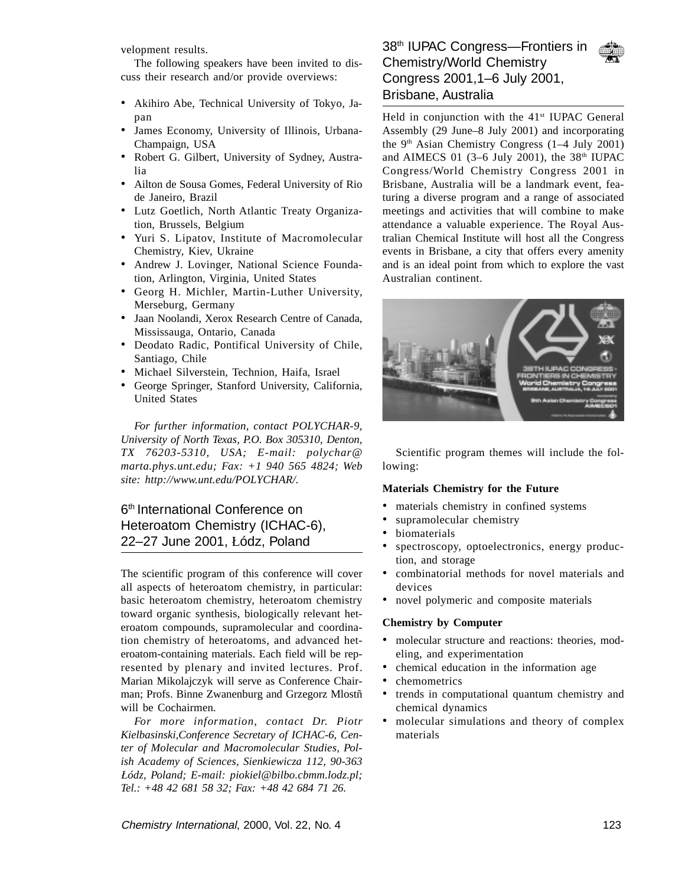velopment results.

The following speakers have been invited to discuss their research and/or provide overviews:

- Akihiro Abe, Technical University of Tokyo, Japan
- James Economy, University of Illinois, Urbana-Champaign, USA
- Robert G. Gilbert, University of Sydney, Australia
- Ailton de Sousa Gomes, Federal University of Rio de Janeiro, Brazil
- Lutz Goetlich, North Atlantic Treaty Organization, Brussels, Belgium
- Yuri S. Lipatov, Institute of Macromolecular Chemistry, Kiev, Ukraine
- Andrew J. Lovinger, National Science Foundation, Arlington, Virginia, United States
- Georg H. Michler, Martin-Luther University, Merseburg, Germany
- Jaan Noolandi, Xerox Research Centre of Canada, Mississauga, Ontario, Canada
- Deodato Radic, Pontifical University of Chile, Santiago, Chile
- Michael Silverstein, Technion, Haifa, Israel
- George Springer, Stanford University, California, United States

*For further information, contact POLYCHAR-9, University of North Texas, P.O. Box 305310, Denton, TX 76203-5310, USA; E-mail: polychar@ marta.phys.unt.edu; Fax: +1 940 565 4824; Web site: http://www.unt.edu/POLYCHAR/.*

## 6<sup>th</sup> International Conference on Heteroatom Chemistry (ICHAC-6), 22–27 June 2001, Łódz, Poland

The scientific program of this conference will cover all aspects of heteroatom chemistry, in particular: basic heteroatom chemistry, heteroatom chemistry toward organic synthesis, biologically relevant heteroatom compounds, supramolecular and coordination chemistry of heteroatoms, and advanced heteroatom-containing materials. Each field will be represented by plenary and invited lectures. Prof. Marian Mikolajczyk will serve as Conference Chairman; Profs. Binne Zwanenburg and Grzegorz Mlostñ will be Cochairmen.

*For more information, contact Dr. Piotr Kielbasinski,Conference Secretary of ICHAC-6, Center of Molecular and Macromolecular Studies, Polish Academy of Sciences, Sienkiewicza 112, 90-363* <sup>Ł</sup>*ódz, Poland; E-mail: piokiel@bilbo.cbmm.lodz.pl; Tel.: +48 42 681 58 32; Fax: +48 42 684 71 26.*

## 38<sup>th</sup> IUPAC Congress-Frontiers in Chemistry/World Chemistry Congress 2001,1–6 July 2001, Brisbane, Australia

Held in conjunction with the 41<sup>st</sup> IUPAC General Assembly (29 June–8 July 2001) and incorporating the  $9<sup>th</sup>$  Asian Chemistry Congress (1–4 July 2001) and AIMECS 01 (3-6 July 2001), the  $38<sup>th</sup> IUPAC$ Congress/World Chemistry Congress 2001 in Brisbane, Australia will be a landmark event, featuring a diverse program and a range of associated meetings and activities that will combine to make attendance a valuable experience. The Royal Australian Chemical Institute will host all the Congress events in Brisbane, a city that offers every amenity and is an ideal point from which to explore the vast Australian continent.



Scientific program themes will include the following:

### **Materials Chemistry for the Future**

- materials chemistry in confined systems
- supramolecular chemistry
- **biomaterials**
- spectroscopy, optoelectronics, energy production, and storage
- combinatorial methods for novel materials and devices
- novel polymeric and composite materials

### **Chemistry by Computer**

- molecular structure and reactions: theories, modeling, and experimentation
- chemical education in the information age
- chemometrics
- trends in computational quantum chemistry and chemical dynamics
- molecular simulations and theory of complex materials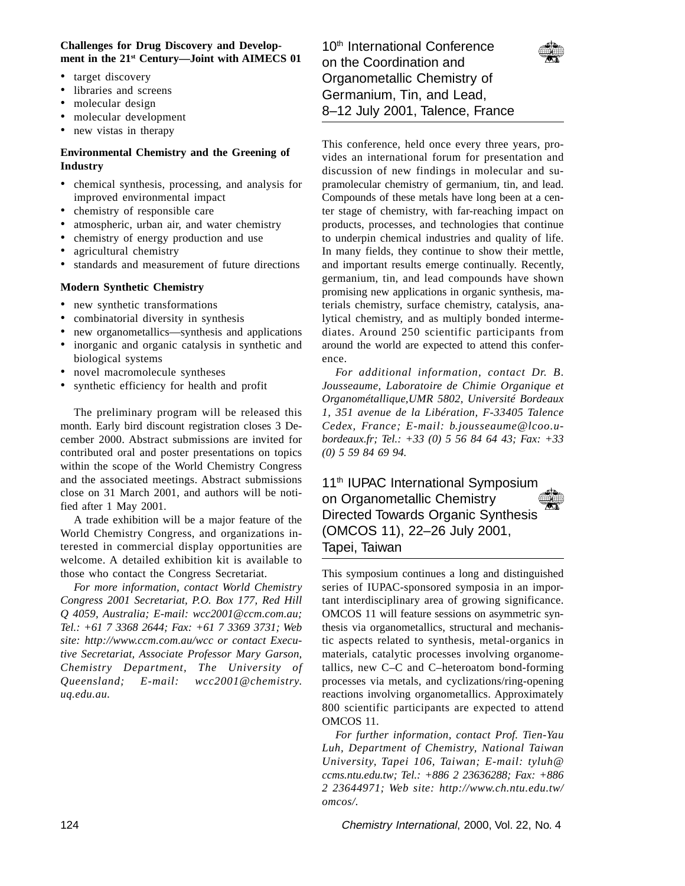## **Challenges for Drug Discovery and Development in the 21st Century—Joint with AIMECS 01**

- target discovery
- libraries and screens
- molecular design
- molecular development
- new vistas in therapy

## **Environmental Chemistry and the Greening of Industry**

- chemical synthesis, processing, and analysis for improved environmental impact
- chemistry of responsible care
- atmospheric, urban air, and water chemistry
- chemistry of energy production and use
- agricultural chemistry
- standards and measurement of future directions

## **Modern Synthetic Chemistry**

- new synthetic transformations
- combinatorial diversity in synthesis
- new organometallics—synthesis and applications
- inorganic and organic catalysis in synthetic and biological systems
- novel macromolecule syntheses
- synthetic efficiency for health and profit

The preliminary program will be released this month. Early bird discount registration closes 3 December 2000. Abstract submissions are invited for contributed oral and poster presentations on topics within the scope of the World Chemistry Congress and the associated meetings. Abstract submissions close on 31 March 2001, and authors will be notified after 1 May 2001.

A trade exhibition will be a major feature of the World Chemistry Congress, and organizations interested in commercial display opportunities are welcome. A detailed exhibition kit is available to those who contact the Congress Secretariat.

*For more information, contact World Chemistry Congress 2001 Secretariat, P.O. Box 177, Red Hill Q 4059, Australia; E-mail: wcc2001@ccm.com.au; Tel.: +61 7 3368 2644; Fax: +61 7 3369 3731; Web site: http://www.ccm.com.au/wcc or contact Executive Secretariat, Associate Professor Mary Garson, Chemistry Department, The University of Queensland; E-mail: wcc2001@chemistry. uq.edu.au.*

10<sup>th</sup> International Conference on the Coordination and Organometallic Chemistry of Germanium, Tin, and Lead, 8–12 July 2001, Talence, France

This conference, held once every three years, provides an international forum for presentation and discussion of new findings in molecular and supramolecular chemistry of germanium, tin, and lead. Compounds of these metals have long been at a center stage of chemistry, with far-reaching impact on products, processes, and technologies that continue to underpin chemical industries and quality of life. In many fields, they continue to show their mettle, and important results emerge continually. Recently, germanium, tin, and lead compounds have shown promising new applications in organic synthesis, materials chemistry, surface chemistry, catalysis, analytical chemistry, and as multiply bonded intermediates. Around 250 scientific participants from around the world are expected to attend this conference.

*For additional information, contact Dr. B. Jousseaume, Laboratoire de Chimie Organique et Organométallique,UMR 5802, Université Bordeaux 1, 351 avenue de la Libération, F-33405 Talence Cedex, France; E-mail: b.jousseaume@lcoo.ubordeaux.fr; Tel.: +33 (0) 5 56 84 64 43; Fax: +33 (0) 5 59 84 69 94.*

11<sup>th</sup> IUPAC International Symposium on Organometallic Chemistry Directed Towards Organic Synthesis (OMCOS 11), 22–26 July 2001, Tapei, Taiwan

This symposium continues a long and distinguished series of IUPAC-sponsored symposia in an important interdisciplinary area of growing significance. OMCOS 11 will feature sessions on asymmetric synthesis via organometallics, structural and mechanistic aspects related to synthesis, metal-organics in materials, catalytic processes involving organometallics, new C–C and C–heteroatom bond-forming processes via metals, and cyclizations/ring-opening reactions involving organometallics. Approximately 800 scientific participants are expected to attend OMCOS 11.

*For further information, contact Prof. Tien-Yau Luh, Department of Chemistry, National Taiwan University, Tapei 106, Taiwan; E-mail: tyluh@ ccms.ntu.edu.tw; Tel.: +886 2 23636288; Fax: +886 2 23644971; Web site: http://www.ch.ntu.edu.tw/ omcos/.*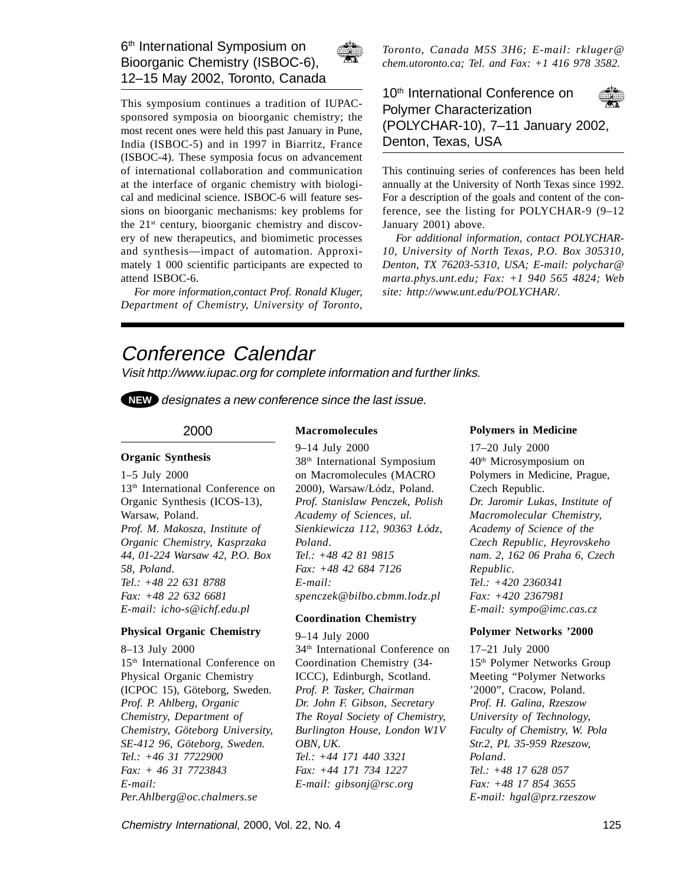## 6<sup>th</sup> International Symposium on Bioorganic Chemistry (ISBOC-6), 12–15 May 2002, Toronto, Canada

This symposium continues a tradition of IUPACsponsored symposia on bioorganic chemistry; the most recent ones were held this past January in Pune, India (ISBOC-5) and in 1997 in Biarritz, France (ISBOC-4). These symposia focus on advancement of international collaboration and communication at the interface of organic chemistry with biological and medicinal science. ISBOC-6 will feature sessions on bioorganic mechanisms: key problems for the  $21<sup>st</sup>$  century, bioorganic chemistry and discovery of new therapeutics, and biomimetic processes and synthesis—impact of automation. Approximately 1 000 scientific participants are expected to attend ISBOC-6.

*For more information,contact Prof. Ronald Kluger, Department of Chemistry, University of Toronto,*



## 10<sup>th</sup> International Conference on Polymer Characterization (POLYCHAR-10), 7–11 January 2002, Denton, Texas, USA

This continuing series of conferences has been held annually at the University of North Texas since 1992. For a description of the goals and content of the conference, see the listing for POLYCHAR-9 (9–12 January 2001) above.

*For additional information, contact POLYCHAR-10, University of North Texas, P.O. Box 305310, Denton, TX 76203-5310, USA; E-mail: polychar@ marta.phys.unt.edu; Fax: +1 940 565 4824; Web site: http://www.unt.edu/POLYCHAR/.*

# Conference Calendar

Visit http://www.iupac.org for complete information and further links.

**NEW** designates a new conference since the last issue.

## 2000

## **Macromolecules**

## **Organic Synthesis**

1–5 July 2000 13<sup>th</sup> International Conference on Organic Synthesis (ICOS-13), Warsaw, Poland. *Prof. M. Makosza, Institute of Organic Chemistry, Kasprzaka 44, 01-224 Warsaw 42, P.O. Box 58, Poland. Tel.: +48 22 631 8788 Fax: +48 22 632 6681 E-mail: icho-s@ichf.edu.pl*

## **Physical Organic Chemistry**

8–13 July 2000 15<sup>th</sup> International Conference on Physical Organic Chemistry (ICPOC 15), Göteborg, Sweden. *Prof. P. Ahlberg, Organic Chemistry, Department of Chemistry, Göteborg University, SE-412 96, Göteborg, Sweden. Tel.: +46 31 7722900 Fax: + 46 31 7723843 E-mail: Per.Ahlberg@oc.chalmers.se*

9–14 July 2000 38th International Symposium on Macromolecules (MACRO 2000), Warsaw/Łódz, Poland. *Prof. Stanislaw Penczek, Polish Academy of Sciences, ul. Sienkiewicza 112, 90363* Łó*dz, Poland. Tel.: +48 42 81 9815 Fax: +48 42 684 7126 E-mail: spenczek@bilbo.cbmm.lodz.pl*

## **Coordination Chemistry**

9–14 July 2000 34th International Conference on Coordination Chemistry (34- ICCC), Edinburgh, Scotland. *Prof. P. Tasker, Chairman Dr. John F. Gibson, Secretary The Royal Society of Chemistry, Burlington House, London W1V OBN, UK. Tel.: +44 171 440 3321 Fax: +44 171 734 1227 E-mail: gibsonj@rsc.org*

## **Polymers in Medicine**

17–20 July 2000 40th Microsymposium on Polymers in Medicine, Prague, Czech Republic. *Dr. Jaromir Lukas, Institute of Macromolecular Chemistry, Academy of Science of the Czech Republic, Heyrovskeho nam. 2, 162 06 Praha 6, Czech Republic. Tel.: +420 2360341 Fax: +420 2367981 E-mail: sympo@imc.cas.cz*

## **Polymer Networks '2000**

17–21 July 2000 15th Polymer Networks Group Meeting "Polymer Networks '2000", Cracow, Poland. *Prof. H. Galina, Rzeszow University of Technology, Faculty of Chemistry, W. Pola Str.2, PL 35-959 Rzeszow, Poland. Tel.: +48 17 628 057 Fax: +48 17 854 3655 E-mail: hgal@prz.rzeszow*

Chemistry International, 2000, Vol. 22, No. 4 125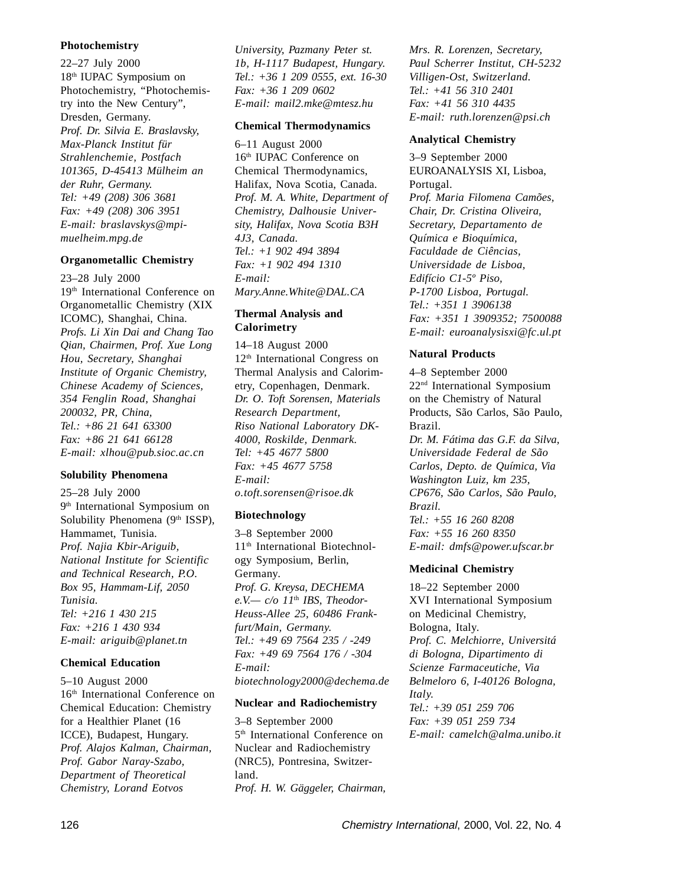## **Photochemistry**

22–27 July 2000 18th IUPAC Symposium on Photochemistry, "Photochemistry into the New Century", Dresden, Germany. *Prof. Dr. Silvia E. Braslavsky, Max-Planck Institut für Strahlenchemie, Postfach 101365, D-45413 Mülheim an der Ruhr, Germany. Tel: +49 (208) 306 3681 Fax: +49 (208) 306 3951 E-mail: braslavskys@mpimuelheim.mpg.de*

## **Organometallic Chemistry**

23–28 July 2000 19<sup>th</sup> International Conference on Organometallic Chemistry (XIX ICOMC), Shanghai, China. *Profs. Li Xin Dai and Chang Tao Qian, Chairmen, Prof. Xue Long Hou, Secretary, Shanghai Institute of Organic Chemistry, Chinese Academy of Sciences, 354 Fenglin Road, Shanghai 200032, PR, China, Tel.: +86 21 641 63300 Fax: +86 21 641 66128 E-mail: xlhou@pub.sioc.ac.cn*

## **Solubility Phenomena**

25–28 July 2000 9<sup>th</sup> International Symposium on Solubility Phenomena (9<sup>th</sup> ISSP), Hammamet, Tunisia. *Prof. Najia Kbir-Ariguib, National Institute for Scientific and Technical Research, P.O. Box 95, Hammam-Lif, 2050 Tunisia. Tel: +216 1 430 215 Fax: +216 1 430 934 E-mail: ariguib@planet.tn*

## **Chemical Education**

5–10 August 2000 16<sup>th</sup> International Conference on Chemical Education: Chemistry for a Healthier Planet (16 ICCE), Budapest, Hungary. *Prof. Alajos Kalman, Chairman, Prof. Gabor Naray-Szabo, Department of Theoretical Chemistry, Lorand Eotvos*

*University, Pazmany Peter st. 1b, H-1117 Budapest, Hungary. Tel.: +36 1 209 0555, ext. 16-30 Fax: +36 1 209 0602 E-mail: mail2.mke@mtesz.hu*

## **Chemical Thermodynamics**

6–11 August 2000 16th IUPAC Conference on Chemical Thermodynamics, Halifax, Nova Scotia, Canada. *Prof. M. A. White, Department of Chemistry, Dalhousie University, Halifax, Nova Scotia B3H 4J3, Canada. Tel.: +1 902 494 3894 Fax: +1 902 494 1310 E-mail: Mary.Anne.White@DAL.CA*

## **Thermal Analysis and Calorimetry**

14–18 August 2000 12<sup>th</sup> International Congress on Thermal Analysis and Calorimetry, Copenhagen, Denmark. *Dr. O. Toft Sorensen, Materials Research Department, Riso National Laboratory DK-4000, Roskilde, Denmark. Tel: +45 4677 5800 Fax: +45 4677 5758 E-mail: o.toft.sorensen@risoe.dk*

## **Biotechnology**

3–8 September 2000 11<sup>th</sup> International Biotechnology Symposium, Berlin, Germany. *Prof. G. Kreysa, DECHEMA e.V.— c/o 11*th *IBS, Theodor-Heuss-Allee 25, 60486 Frankfurt/Main, Germany. Tel.: +49 69 7564 235 / -249 Fax: +49 69 7564 176 / -304 E-mail: biotechnology2000@dechema.de*

## **Nuclear and Radiochemistry**

3–8 September 2000 5th International Conference on Nuclear and Radiochemistry (NRC5), Pontresina, Switzerland. *Prof. H. W. Gäggeler, Chairman,* *Mrs. R. Lorenzen, Secretary, Paul Scherrer Institut, CH-5232 Villigen-Ost, Switzerland. Tel.: +41 56 310 2401 Fax: +41 56 310 4435 E-mail: ruth.lorenzen@psi.ch*

## **Analytical Chemistry**

3–9 September 2000 EUROANALYSIS XI, Lisboa, Portugal. *Prof. Maria Filomena Camões, Chair, Dr. Cristina Oliveira, Secretary, Departamento de Química e Bioquímica, Faculdade de Ciências, Universidade de Lisboa, Edifício C1-5º Piso, P-1700 Lisboa, Portugal. Tel.: +351 1 3906138 Fax: +351 1 3909352; 7500088 E-mail: euroanalysisxi@fc.ul.pt*

## **Natural Products**

4–8 September 2000 22nd International Symposium on the Chemistry of Natural Products, São Carlos, São Paulo, Brazil. *Dr. M. Fátima das G.F. da Silva, Universidade Federal de São Carlos, Depto. de Química, Via Washington Luiz, km 235, CP676, São Carlos, São Paulo, Brazil. Tel.: +55 16 260 8208 Fax: +55 16 260 8350 E-mail: dmfs@power.ufscar.br*

## **Medicinal Chemistry**

18–22 September 2000 XVI International Symposium on Medicinal Chemistry, Bologna, Italy. *Prof. C. Melchiorre, Universitá di Bologna, Dipartimento di Scienze Farmaceutiche, Via Belmeloro 6, I-40126 Bologna, Italy. Tel.: +39 051 259 706 Fax: +39 051 259 734 E-mail: camelch@alma.unibo.it*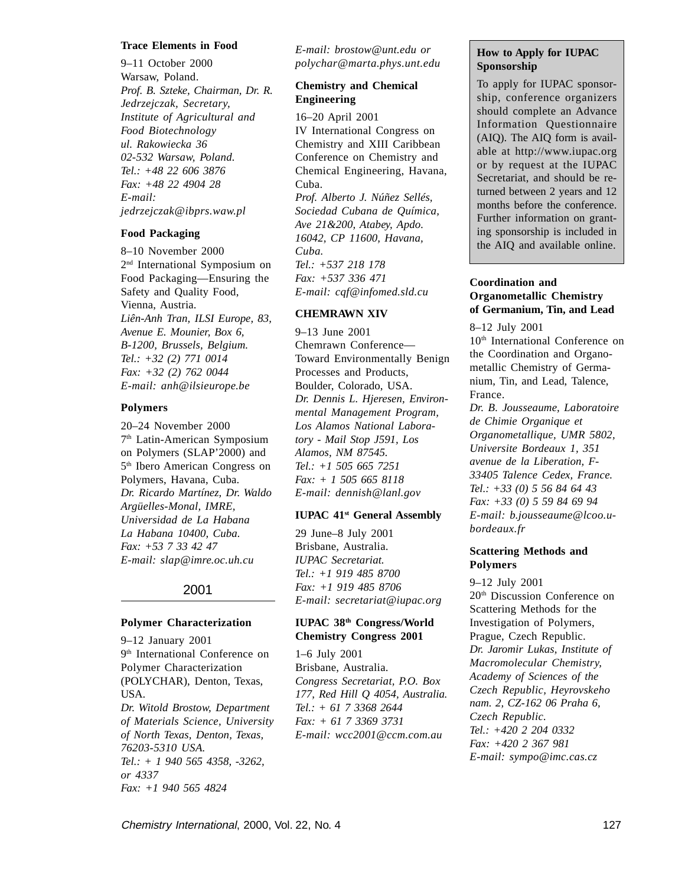## **Trace Elements in Food**

9–11 October 2000 Warsaw, Poland. *Prof. B. Szteke, Chairman, Dr. R. Jedrzejczak, Secretary, Institute of Agricultural and Food Biotechnology ul. Rakowiecka 36 02-532 Warsaw, Poland. Tel.: +48 22 606 3876 Fax: +48 22 4904 28 E-mail: jedrzejczak@ibprs.waw.pl*

### **Food Packaging**

8–10 November 2000 2nd International Symposium on Food Packaging—Ensuring the Safety and Quality Food, Vienna, Austria. *Liên-Anh Tran, ILSI Europe, 83, Avenue E. Mounier, Box 6, B-1200, Brussels, Belgium. Tel.: +32 (2) 771 0014 Fax: +32 (2) 762 0044 E-mail: anh@ilsieurope.be*

### **Polymers**

20–24 November 2000 7th Latin-American Symposium on Polymers (SLAP'2000) and 5th Ibero American Congress on Polymers, Havana, Cuba. *Dr. Ricardo Martínez, Dr. Waldo Argüelles-Monal, IMRE, Universidad de La Habana La Habana 10400, Cuba. Fax: +53 7 33 42 47 E-mail: slap@imre.oc.uh.cu*

## 2001

#### **Polymer Characterization**

9–12 January 2001 9<sup>th</sup> International Conference on Polymer Characterization (POLYCHAR), Denton, Texas, USA. *Dr. Witold Brostow, Department of Materials Science, University of North Texas, Denton, Texas, 76203-5310 USA. Tel.: + 1 940 565 4358, -3262, or 4337 Fax: +1 940 565 4824*

*E-mail: brostow@unt.edu or polychar@marta.phys.unt.edu*

## **Chemistry and Chemical Engineering**

16–20 April 2001 IV International Congress on Chemistry and XIII Caribbean Conference on Chemistry and Chemical Engineering, Havana, Cuba. *Prof. Alberto J. Núñez Sellés, Sociedad Cubana de Química, Ave 21&200, Atabey, Apdo. 16042, CP 11600, Havana, Cuba. Tel.: +537 218 178 Fax: +537 336 471 E-mail: cqf@infomed.sld.cu*

## **CHEMRAWN XIV**

9–13 June 2001 Chemrawn Conference— Toward Environmentally Benign Processes and Products, Boulder, Colorado, USA. *Dr. Dennis L. Hjeresen, Environmental Management Program, Los Alamos National Laboratory - Mail Stop J591, Los Alamos, NM 87545. Tel.: +1 505 665 7251 Fax: + 1 505 665 8118 E-mail: dennish@lanl.gov*

## **IUPAC 41st General Assembly**

29 June–8 July 2001 Brisbane, Australia. *IUPAC Secretariat. Tel.: +1 919 485 8700 Fax: +1 919 485 8706 E-mail: secretariat@iupac.org*

## **IUPAC 38th Congress/World Chemistry Congress 2001**

1–6 July 2001 Brisbane, Australia. *Congress Secretariat, P.O. Box 177, Red Hill Q 4054, Australia. Tel.: + 61 7 3368 2644 Fax: + 61 7 3369 3731 E-mail: wcc2001@ccm.com.au*

## **How to Apply for IUPAC Sponsorship**

To apply for IUPAC sponsorship, conference organizers should complete an Advance Information Questionnaire (AIQ). The AIQ form is available at http://www.iupac.org or by request at the IUPAC Secretariat, and should be returned between 2 years and 12 months before the conference. Further information on granting sponsorship is included in the AIQ and available online.

## **Coordination and Organometallic Chemistry of Germanium, Tin, and Lead**

8–12 July 2001 10<sup>th</sup> International Conference on the Coordination and Organometallic Chemistry of Germanium, Tin, and Lead, Talence, France.

*Dr. B. Jousseaume, Laboratoire de Chimie Organique et Organometallique, UMR 5802, Universite Bordeaux 1, 351 avenue de la Liberation, F-33405 Talence Cedex, France. Tel.: +33 (0) 5 56 84 64 43 Fax: +33 (0) 5 59 84 69 94 E-mail: b.jousseaume@lcoo.ubordeaux.fr*

## **Scattering Methods and Polymers**

9–12 July 2001 20th Discussion Conference on Scattering Methods for the Investigation of Polymers, Prague, Czech Republic. *Dr. Jaromir Lukas, Institute of Macromolecular Chemistry, Academy of Sciences of the Czech Republic, Heyrovskeho nam. 2, CZ-162 06 Praha 6, Czech Republic. Tel.: +420 2 204 0332 Fax: +420 2 367 981 E-mail: sympo@imc.cas.cz*